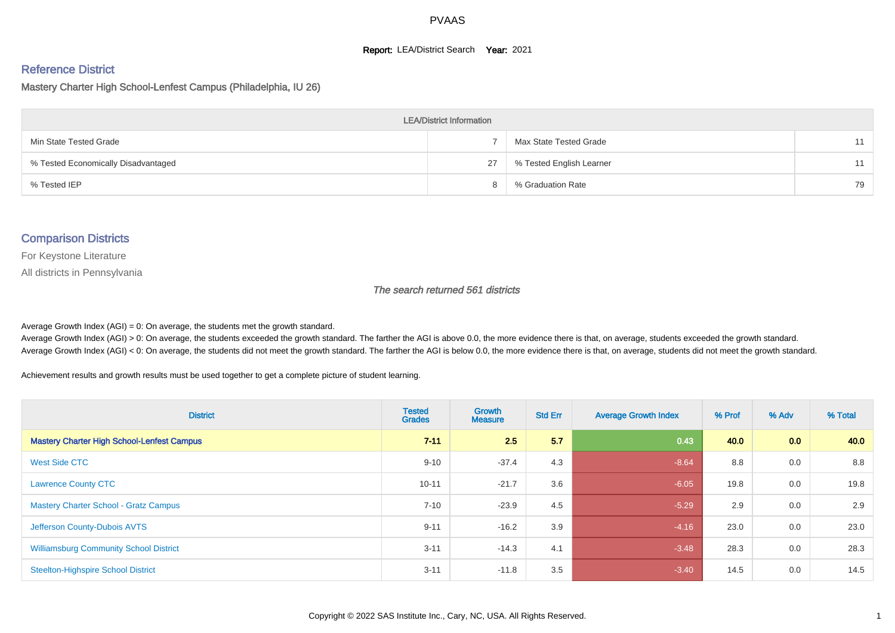#### **Report: LEA/District Search Year: 2021**

#### Reference District

Mastery Charter High School-Lenfest Campus (Philadelphia, IU 26)

| <b>LEA/District Information</b>     |    |                          |    |  |  |  |  |  |  |  |
|-------------------------------------|----|--------------------------|----|--|--|--|--|--|--|--|
| Min State Tested Grade              |    | Max State Tested Grade   | 11 |  |  |  |  |  |  |  |
| % Tested Economically Disadvantaged | 27 | % Tested English Learner | 11 |  |  |  |  |  |  |  |
| % Tested IEP                        |    | % Graduation Rate        | 79 |  |  |  |  |  |  |  |

#### Comparison Districts

For Keystone Literature

All districts in Pennsylvania

The search returned 561 districts

Average Growth Index  $(AGI) = 0$ : On average, the students met the growth standard.

Average Growth Index (AGI) > 0: On average, the students exceeded the growth standard. The farther the AGI is above 0.0, the more evidence there is that, on average, students exceeded the growth standard. Average Growth Index (AGI) < 0: On average, the students did not meet the growth standard. The farther the AGI is below 0.0, the more evidence there is that, on average, students did not meet the growth standard.

Achievement results and growth results must be used together to get a complete picture of student learning.

| <b>District</b>                                   | <b>Tested</b><br><b>Grades</b> | <b>Growth</b><br><b>Measure</b> | <b>Std Err</b> | <b>Average Growth Index</b> | % Prof | % Adv | % Total |
|---------------------------------------------------|--------------------------------|---------------------------------|----------------|-----------------------------|--------|-------|---------|
| <b>Mastery Charter High School-Lenfest Campus</b> | $7 - 11$                       | 2.5                             | 5.7            | 0.43                        | 40.0   | 0.0   | 40.0    |
| <b>West Side CTC</b>                              | $9 - 10$                       | $-37.4$                         | 4.3            | $-8.64$                     | 8.8    | 0.0   | 8.8     |
| <b>Lawrence County CTC</b>                        | $10 - 11$                      | $-21.7$                         | 3.6            | $-6.05$                     | 19.8   | 0.0   | 19.8    |
| <b>Mastery Charter School - Gratz Campus</b>      | $7 - 10$                       | $-23.9$                         | 4.5            | $-5.29$                     | 2.9    | 0.0   | 2.9     |
| Jefferson County-Dubois AVTS                      | $9 - 11$                       | $-16.2$                         | 3.9            | $-4.16$                     | 23.0   | 0.0   | 23.0    |
| <b>Williamsburg Community School District</b>     | $3 - 11$                       | $-14.3$                         | 4.1            | $-3.48$                     | 28.3   | 0.0   | 28.3    |
| <b>Steelton-Highspire School District</b>         | $3 - 11$                       | $-11.8$                         | 3.5            | $-3.40$                     | 14.5   | 0.0   | 14.5    |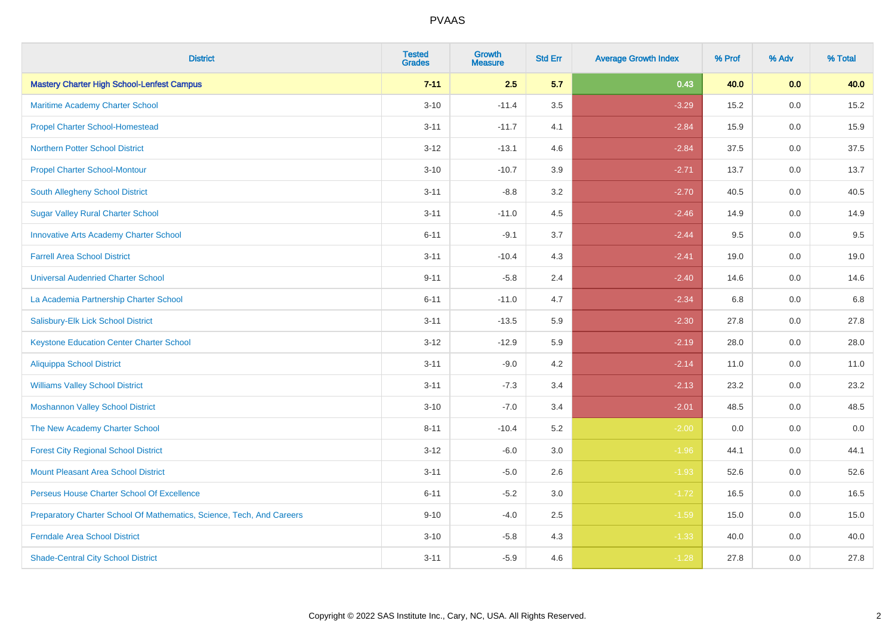| <b>District</b>                                                       | <b>Tested</b><br><b>Grades</b> | <b>Growth</b><br><b>Measure</b> | <b>Std Err</b> | <b>Average Growth Index</b> | % Prof | % Adv | % Total |
|-----------------------------------------------------------------------|--------------------------------|---------------------------------|----------------|-----------------------------|--------|-------|---------|
| <b>Mastery Charter High School-Lenfest Campus</b>                     | $7 - 11$                       | 2.5                             | 5.7            | 0.43                        | 40.0   | 0.0   | 40.0    |
| Maritime Academy Charter School                                       | $3 - 10$                       | $-11.4$                         | 3.5            | $-3.29$                     | 15.2   | 0.0   | 15.2    |
| <b>Propel Charter School-Homestead</b>                                | $3 - 11$                       | $-11.7$                         | 4.1            | $-2.84$                     | 15.9   | 0.0   | 15.9    |
| <b>Northern Potter School District</b>                                | $3 - 12$                       | $-13.1$                         | 4.6            | $-2.84$                     | 37.5   | 0.0   | 37.5    |
| <b>Propel Charter School-Montour</b>                                  | $3 - 10$                       | $-10.7$                         | 3.9            | $-2.71$                     | 13.7   | 0.0   | 13.7    |
| South Allegheny School District                                       | $3 - 11$                       | $-8.8$                          | 3.2            | $-2.70$                     | 40.5   | 0.0   | 40.5    |
| <b>Sugar Valley Rural Charter School</b>                              | $3 - 11$                       | $-11.0$                         | 4.5            | $-2.46$                     | 14.9   | 0.0   | 14.9    |
| <b>Innovative Arts Academy Charter School</b>                         | $6 - 11$                       | $-9.1$                          | 3.7            | $-2.44$                     | 9.5    | 0.0   | 9.5     |
| <b>Farrell Area School District</b>                                   | $3 - 11$                       | $-10.4$                         | 4.3            | $-2.41$                     | 19.0   | 0.0   | 19.0    |
| <b>Universal Audenried Charter School</b>                             | $9 - 11$                       | $-5.8$                          | 2.4            | $-2.40$                     | 14.6   | 0.0   | 14.6    |
| La Academia Partnership Charter School                                | $6 - 11$                       | $-11.0$                         | 4.7            | $-2.34$                     | 6.8    | 0.0   | 6.8     |
| Salisbury-Elk Lick School District                                    | $3 - 11$                       | $-13.5$                         | 5.9            | $-2.30$                     | 27.8   | 0.0   | 27.8    |
| <b>Keystone Education Center Charter School</b>                       | $3 - 12$                       | $-12.9$                         | 5.9            | $-2.19$                     | 28.0   | 0.0   | 28.0    |
| <b>Aliquippa School District</b>                                      | $3 - 11$                       | $-9.0$                          | 4.2            | $-2.14$                     | 11.0   | 0.0   | 11.0    |
| <b>Williams Valley School District</b>                                | $3 - 11$                       | $-7.3$                          | 3.4            | $-2.13$                     | 23.2   | 0.0   | 23.2    |
| <b>Moshannon Valley School District</b>                               | $3 - 10$                       | $-7.0$                          | 3.4            | $-2.01$                     | 48.5   | 0.0   | 48.5    |
| The New Academy Charter School                                        | $8 - 11$                       | $-10.4$                         | 5.2            | $-2.00$                     | 0.0    | 0.0   | 0.0     |
| <b>Forest City Regional School District</b>                           | $3 - 12$                       | $-6.0$                          | 3.0            | $-1.96$                     | 44.1   | 0.0   | 44.1    |
| <b>Mount Pleasant Area School District</b>                            | $3 - 11$                       | $-5.0$                          | 2.6            | $-1.93$                     | 52.6   | 0.0   | 52.6    |
| Perseus House Charter School Of Excellence                            | $6 - 11$                       | $-5.2$                          | 3.0            | $-1.72$                     | 16.5   | 0.0   | 16.5    |
| Preparatory Charter School Of Mathematics, Science, Tech, And Careers | $9 - 10$                       | $-4.0$                          | 2.5            | $-1.59$                     | 15.0   | 0.0   | 15.0    |
| <b>Ferndale Area School District</b>                                  | $3 - 10$                       | $-5.8$                          | 4.3            | $-1.33$                     | 40.0   | 0.0   | 40.0    |
| <b>Shade-Central City School District</b>                             | $3 - 11$                       | $-5.9$                          | 4.6            | $-1.28$                     | 27.8   | 0.0   | 27.8    |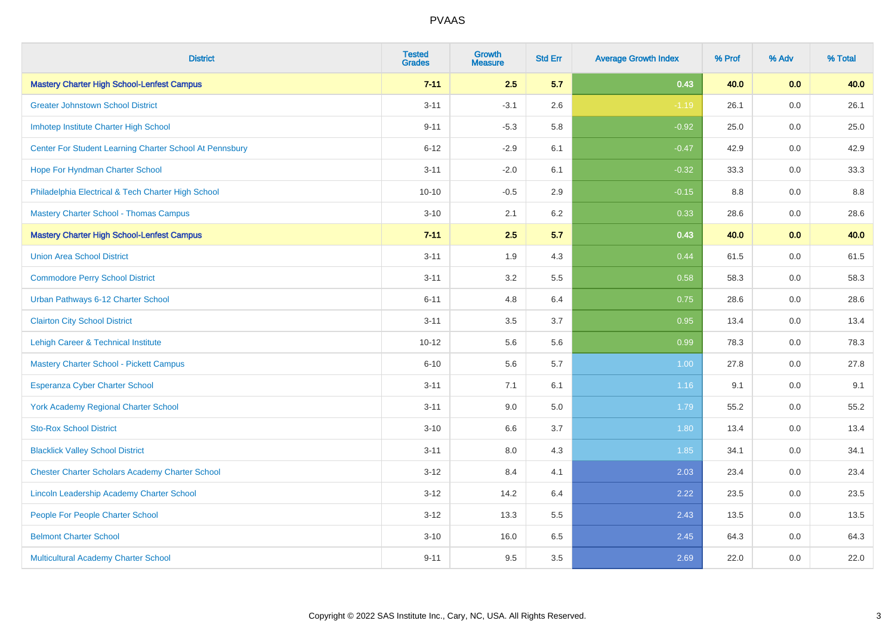| <b>District</b>                                         | <b>Tested</b><br><b>Grades</b> | <b>Growth</b><br><b>Measure</b> | <b>Std Err</b> | <b>Average Growth Index</b> | % Prof | % Adv   | % Total |
|---------------------------------------------------------|--------------------------------|---------------------------------|----------------|-----------------------------|--------|---------|---------|
| <b>Mastery Charter High School-Lenfest Campus</b>       | $7 - 11$                       | 2.5                             | 5.7            | 0.43                        | 40.0   | 0.0     | 40.0    |
| <b>Greater Johnstown School District</b>                | $3 - 11$                       | $-3.1$                          | 2.6            | $-1.19$                     | 26.1   | $0.0\,$ | 26.1    |
| Imhotep Institute Charter High School                   | $9 - 11$                       | $-5.3$                          | 5.8            | $-0.92$                     | 25.0   | 0.0     | 25.0    |
| Center For Student Learning Charter School At Pennsbury | $6 - 12$                       | $-2.9$                          | 6.1            | $-0.47$                     | 42.9   | 0.0     | 42.9    |
| Hope For Hyndman Charter School                         | $3 - 11$                       | $-2.0$                          | 6.1            | $-0.32$                     | 33.3   | 0.0     | 33.3    |
| Philadelphia Electrical & Tech Charter High School      | $10 - 10$                      | $-0.5$                          | 2.9            | $-0.15$                     | 8.8    | 0.0     | 8.8     |
| <b>Mastery Charter School - Thomas Campus</b>           | $3 - 10$                       | 2.1                             | 6.2            | 0.33                        | 28.6   | 0.0     | 28.6    |
| <b>Mastery Charter High School-Lenfest Campus</b>       | $7 - 11$                       | 2.5                             | 5.7            | 0.43                        | 40.0   | 0.0     | 40.0    |
| <b>Union Area School District</b>                       | $3 - 11$                       | 1.9                             | 4.3            | 0.44                        | 61.5   | 0.0     | 61.5    |
| <b>Commodore Perry School District</b>                  | $3 - 11$                       | 3.2                             | 5.5            | 0.58                        | 58.3   | 0.0     | 58.3    |
| Urban Pathways 6-12 Charter School                      | $6 - 11$                       | 4.8                             | 6.4            | 0.75                        | 28.6   | 0.0     | 28.6    |
| <b>Clairton City School District</b>                    | $3 - 11$                       | 3.5                             | 3.7            | 0.95                        | 13.4   | 0.0     | 13.4    |
| Lehigh Career & Technical Institute                     | $10 - 12$                      | 5.6                             | 5.6            | 0.99                        | 78.3   | 0.0     | 78.3    |
| <b>Mastery Charter School - Pickett Campus</b>          | $6 - 10$                       | 5.6                             | 5.7            | 1.00                        | 27.8   | 0.0     | 27.8    |
| <b>Esperanza Cyber Charter School</b>                   | $3 - 11$                       | 7.1                             | 6.1            | 1.16                        | 9.1    | 0.0     | 9.1     |
| <b>York Academy Regional Charter School</b>             | $3 - 11$                       | 9.0                             | 5.0            | 1.79                        | 55.2   | $0.0\,$ | 55.2    |
| <b>Sto-Rox School District</b>                          | $3 - 10$                       | 6.6                             | 3.7            | 1.80                        | 13.4   | 0.0     | 13.4    |
| <b>Blacklick Valley School District</b>                 | $3 - 11$                       | 8.0                             | 4.3            | 1.85                        | 34.1   | 0.0     | 34.1    |
| <b>Chester Charter Scholars Academy Charter School</b>  | $3 - 12$                       | 8.4                             | 4.1            | 2.03                        | 23.4   | 0.0     | 23.4    |
| Lincoln Leadership Academy Charter School               | $3 - 12$                       | 14.2                            | 6.4            | 2.22                        | 23.5   | 0.0     | 23.5    |
| People For People Charter School                        | $3 - 12$                       | 13.3                            | 5.5            | 2.43                        | 13.5   | 0.0     | 13.5    |
| <b>Belmont Charter School</b>                           | $3 - 10$                       | 16.0                            | 6.5            | 2.45                        | 64.3   | 0.0     | 64.3    |
| Multicultural Academy Charter School                    | $9 - 11$                       | 9.5                             | 3.5            | 2.69                        | 22.0   | 0.0     | 22.0    |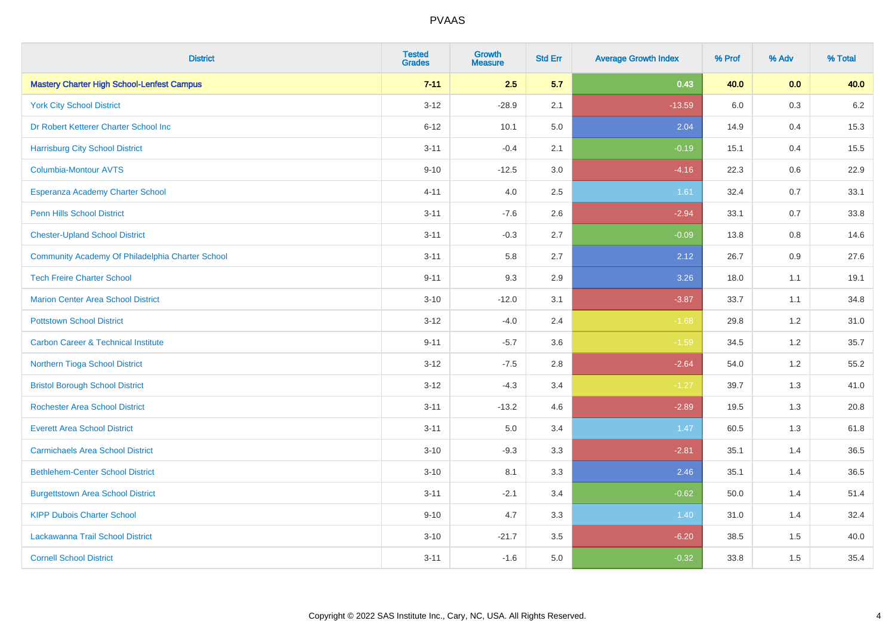| <b>District</b>                                   | <b>Tested</b><br><b>Grades</b> | <b>Growth</b><br><b>Measure</b> | <b>Std Err</b> | <b>Average Growth Index</b> | % Prof | % Adv | % Total |
|---------------------------------------------------|--------------------------------|---------------------------------|----------------|-----------------------------|--------|-------|---------|
| <b>Mastery Charter High School-Lenfest Campus</b> | $7 - 11$                       | 2.5                             | 5.7            | 0.43                        | 40.0   | 0.0   | 40.0    |
| <b>York City School District</b>                  | $3 - 12$                       | $-28.9$                         | 2.1            | $-13.59$                    | 6.0    | 0.3   | $6.2\,$ |
| Dr Robert Ketterer Charter School Inc             | $6 - 12$                       | 10.1                            | 5.0            | 2.04                        | 14.9   | 0.4   | 15.3    |
| <b>Harrisburg City School District</b>            | $3 - 11$                       | $-0.4$                          | 2.1            | $-0.19$                     | 15.1   | 0.4   | 15.5    |
| <b>Columbia-Montour AVTS</b>                      | $9 - 10$                       | $-12.5$                         | 3.0            | $-4.16$                     | 22.3   | 0.6   | 22.9    |
| Esperanza Academy Charter School                  | $4 - 11$                       | 4.0                             | 2.5            | 1.61                        | 32.4   | 0.7   | 33.1    |
| Penn Hills School District                        | $3 - 11$                       | $-7.6$                          | 2.6            | $-2.94$                     | 33.1   | 0.7   | 33.8    |
| <b>Chester-Upland School District</b>             | $3 - 11$                       | $-0.3$                          | 2.7            | $-0.09$                     | 13.8   | 0.8   | 14.6    |
| Community Academy Of Philadelphia Charter School  | $3 - 11$                       | 5.8                             | 2.7            | 2.12                        | 26.7   | 0.9   | 27.6    |
| <b>Tech Freire Charter School</b>                 | $9 - 11$                       | 9.3                             | 2.9            | 3.26                        | 18.0   | 1.1   | 19.1    |
| <b>Marion Center Area School District</b>         | $3 - 10$                       | $-12.0$                         | 3.1            | $-3.87$                     | 33.7   | 1.1   | 34.8    |
| <b>Pottstown School District</b>                  | $3 - 12$                       | $-4.0$                          | 2.4            | $-1.68$                     | 29.8   | 1.2   | 31.0    |
| <b>Carbon Career &amp; Technical Institute</b>    | $9 - 11$                       | $-5.7$                          | 3.6            | $-1.59$                     | 34.5   | 1.2   | 35.7    |
| Northern Tioga School District                    | $3 - 12$                       | $-7.5$                          | 2.8            | $-2.64$                     | 54.0   | 1.2   | 55.2    |
| <b>Bristol Borough School District</b>            | $3 - 12$                       | $-4.3$                          | 3.4            | $-1.27$                     | 39.7   | 1.3   | 41.0    |
| <b>Rochester Area School District</b>             | $3 - 11$                       | $-13.2$                         | 4.6            | $-2.89$                     | 19.5   | 1.3   | 20.8    |
| <b>Everett Area School District</b>               | $3 - 11$                       | 5.0                             | 3.4            | 1.47                        | 60.5   | 1.3   | 61.8    |
| <b>Carmichaels Area School District</b>           | $3 - 10$                       | $-9.3$                          | 3.3            | $-2.81$                     | 35.1   | 1.4   | 36.5    |
| <b>Bethlehem-Center School District</b>           | $3 - 10$                       | 8.1                             | 3.3            | 2.46                        | 35.1   | 1.4   | 36.5    |
| <b>Burgettstown Area School District</b>          | $3 - 11$                       | $-2.1$                          | 3.4            | $-0.62$                     | 50.0   | 1.4   | 51.4    |
| <b>KIPP Dubois Charter School</b>                 | $9 - 10$                       | 4.7                             | 3.3            | 1.40                        | 31.0   | 1.4   | 32.4    |
| Lackawanna Trail School District                  | $3 - 10$                       | $-21.7$                         | 3.5            | $-6.20$                     | 38.5   | 1.5   | 40.0    |
| <b>Cornell School District</b>                    | $3 - 11$                       | $-1.6$                          | 5.0            | $-0.32$                     | 33.8   | 1.5   | 35.4    |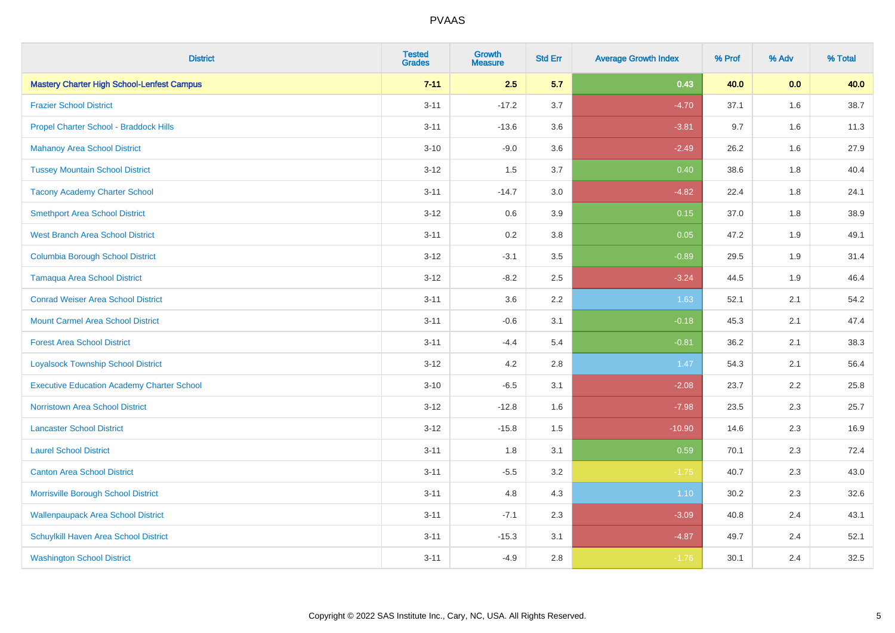| <b>District</b>                                   | <b>Tested</b><br><b>Grades</b> | <b>Growth</b><br><b>Measure</b> | <b>Std Err</b> | <b>Average Growth Index</b> | % Prof | % Adv | % Total |
|---------------------------------------------------|--------------------------------|---------------------------------|----------------|-----------------------------|--------|-------|---------|
| <b>Mastery Charter High School-Lenfest Campus</b> | $7 - 11$                       | 2.5                             | 5.7            | 0.43                        | 40.0   | 0.0   | 40.0    |
| <b>Frazier School District</b>                    | $3 - 11$                       | $-17.2$                         | 3.7            | $-4.70$                     | 37.1   | 1.6   | 38.7    |
| Propel Charter School - Braddock Hills            | $3 - 11$                       | $-13.6$                         | 3.6            | $-3.81$                     | 9.7    | 1.6   | 11.3    |
| <b>Mahanoy Area School District</b>               | $3 - 10$                       | $-9.0$                          | 3.6            | $-2.49$                     | 26.2   | 1.6   | 27.9    |
| <b>Tussey Mountain School District</b>            | $3 - 12$                       | 1.5                             | 3.7            | 0.40                        | 38.6   | 1.8   | 40.4    |
| <b>Tacony Academy Charter School</b>              | $3 - 11$                       | $-14.7$                         | 3.0            | $-4.82$                     | 22.4   | 1.8   | 24.1    |
| <b>Smethport Area School District</b>             | $3 - 12$                       | 0.6                             | 3.9            | 0.15                        | 37.0   | 1.8   | 38.9    |
| <b>West Branch Area School District</b>           | $3 - 11$                       | 0.2                             | 3.8            | 0.05                        | 47.2   | 1.9   | 49.1    |
| <b>Columbia Borough School District</b>           | $3 - 12$                       | $-3.1$                          | 3.5            | $-0.89$                     | 29.5   | 1.9   | 31.4    |
| <b>Tamaqua Area School District</b>               | $3 - 12$                       | $-8.2$                          | 2.5            | $-3.24$                     | 44.5   | 1.9   | 46.4    |
| <b>Conrad Weiser Area School District</b>         | $3 - 11$                       | 3.6                             | 2.2            | 1.63                        | 52.1   | 2.1   | 54.2    |
| <b>Mount Carmel Area School District</b>          | $3 - 11$                       | $-0.6$                          | 3.1            | $-0.18$                     | 45.3   | 2.1   | 47.4    |
| <b>Forest Area School District</b>                | $3 - 11$                       | $-4.4$                          | 5.4            | $-0.81$                     | 36.2   | 2.1   | 38.3    |
| <b>Loyalsock Township School District</b>         | $3 - 12$                       | 4.2                             | 2.8            | 1.47                        | 54.3   | 2.1   | 56.4    |
| <b>Executive Education Academy Charter School</b> | $3 - 10$                       | $-6.5$                          | 3.1            | $-2.08$                     | 23.7   | 2.2   | 25.8    |
| <b>Norristown Area School District</b>            | $3 - 12$                       | $-12.8$                         | 1.6            | $-7.98$                     | 23.5   | 2.3   | 25.7    |
| <b>Lancaster School District</b>                  | $3 - 12$                       | $-15.8$                         | 1.5            | $-10.90$                    | 14.6   | 2.3   | 16.9    |
| <b>Laurel School District</b>                     | $3 - 11$                       | 1.8                             | 3.1            | 0.59                        | 70.1   | 2.3   | 72.4    |
| <b>Canton Area School District</b>                | $3 - 11$                       | $-5.5$                          | 3.2            | $-1.75$                     | 40.7   | 2.3   | 43.0    |
| Morrisville Borough School District               | $3 - 11$                       | 4.8                             | 4.3            | 1.10                        | 30.2   | 2.3   | 32.6    |
| <b>Wallenpaupack Area School District</b>         | $3 - 11$                       | $-7.1$                          | 2.3            | $-3.09$                     | 40.8   | 2.4   | 43.1    |
| Schuylkill Haven Area School District             | $3 - 11$                       | $-15.3$                         | 3.1            | $-4.87$                     | 49.7   | 2.4   | 52.1    |
| <b>Washington School District</b>                 | $3 - 11$                       | $-4.9$                          | 2.8            | $-1.76$                     | 30.1   | 2.4   | 32.5    |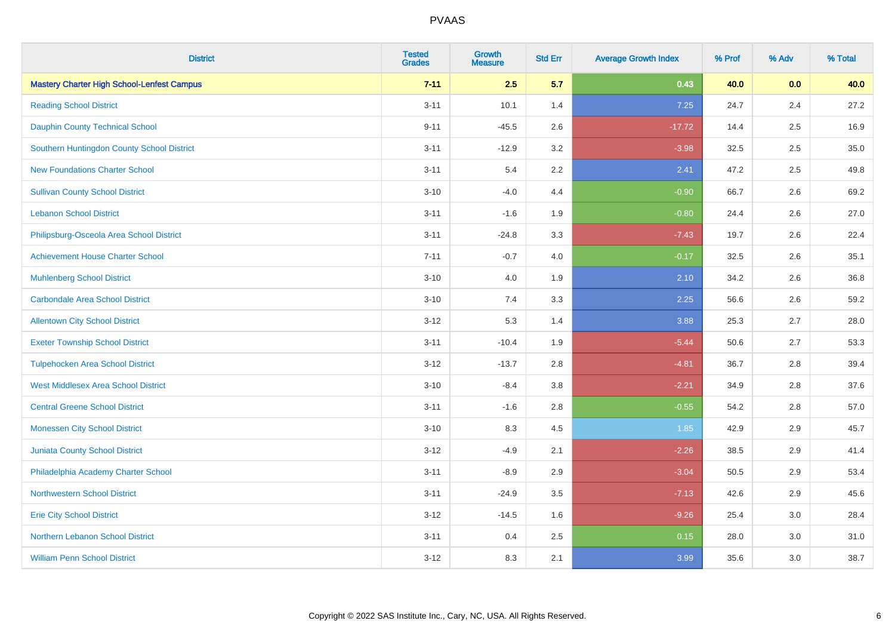| <b>District</b>                                   | <b>Tested</b><br><b>Grades</b> | <b>Growth</b><br><b>Measure</b> | <b>Std Err</b> | <b>Average Growth Index</b> | % Prof | % Adv | % Total |
|---------------------------------------------------|--------------------------------|---------------------------------|----------------|-----------------------------|--------|-------|---------|
| <b>Mastery Charter High School-Lenfest Campus</b> | $7 - 11$                       | 2.5                             | 5.7            | 0.43                        | 40.0   | 0.0   | 40.0    |
| <b>Reading School District</b>                    | $3 - 11$                       | 10.1                            | 1.4            | 7.25                        | 24.7   | 2.4   | 27.2    |
| <b>Dauphin County Technical School</b>            | $9 - 11$                       | $-45.5$                         | 2.6            | $-17.72$                    | 14.4   | 2.5   | 16.9    |
| Southern Huntingdon County School District        | $3 - 11$                       | $-12.9$                         | 3.2            | $-3.98$                     | 32.5   | 2.5   | 35.0    |
| <b>New Foundations Charter School</b>             | $3 - 11$                       | 5.4                             | 2.2            | 2.41                        | 47.2   | 2.5   | 49.8    |
| <b>Sullivan County School District</b>            | $3 - 10$                       | $-4.0$                          | 4.4            | $-0.90$                     | 66.7   | 2.6   | 69.2    |
| <b>Lebanon School District</b>                    | $3 - 11$                       | $-1.6$                          | 1.9            | $-0.80$                     | 24.4   | 2.6   | 27.0    |
| Philipsburg-Osceola Area School District          | $3 - 11$                       | $-24.8$                         | 3.3            | $-7.43$                     | 19.7   | 2.6   | 22.4    |
| <b>Achievement House Charter School</b>           | $7 - 11$                       | $-0.7$                          | 4.0            | $-0.17$                     | 32.5   | 2.6   | 35.1    |
| <b>Muhlenberg School District</b>                 | $3 - 10$                       | 4.0                             | 1.9            | 2.10                        | 34.2   | 2.6   | 36.8    |
| <b>Carbondale Area School District</b>            | $3 - 10$                       | 7.4                             | 3.3            | 2.25                        | 56.6   | 2.6   | 59.2    |
| <b>Allentown City School District</b>             | $3 - 12$                       | 5.3                             | 1.4            | 3.88                        | 25.3   | 2.7   | 28.0    |
| <b>Exeter Township School District</b>            | $3 - 11$                       | $-10.4$                         | 1.9            | $-5.44$                     | 50.6   | 2.7   | 53.3    |
| <b>Tulpehocken Area School District</b>           | $3 - 12$                       | $-13.7$                         | 2.8            | $-4.81$                     | 36.7   | 2.8   | 39.4    |
| <b>West Middlesex Area School District</b>        | $3 - 10$                       | $-8.4$                          | 3.8            | $-2.21$                     | 34.9   | 2.8   | 37.6    |
| <b>Central Greene School District</b>             | $3 - 11$                       | $-1.6$                          | 2.8            | $-0.55$                     | 54.2   | 2.8   | 57.0    |
| <b>Monessen City School District</b>              | $3 - 10$                       | 8.3                             | 4.5            | 1.85                        | 42.9   | 2.9   | 45.7    |
| Juniata County School District                    | $3 - 12$                       | $-4.9$                          | 2.1            | $-2.26$                     | 38.5   | 2.9   | 41.4    |
| Philadelphia Academy Charter School               | $3 - 11$                       | $-8.9$                          | 2.9            | $-3.04$                     | 50.5   | 2.9   | 53.4    |
| <b>Northwestern School District</b>               | $3 - 11$                       | $-24.9$                         | 3.5            | $-7.13$                     | 42.6   | 2.9   | 45.6    |
| <b>Erie City School District</b>                  | $3 - 12$                       | $-14.5$                         | 1.6            | $-9.26$                     | 25.4   | 3.0   | 28.4    |
| Northern Lebanon School District                  | $3 - 11$                       | 0.4                             | 2.5            | 0.15                        | 28.0   | 3.0   | 31.0    |
| <b>William Penn School District</b>               | $3 - 12$                       | 8.3                             | 2.1            | 3.99                        | 35.6   | 3.0   | 38.7    |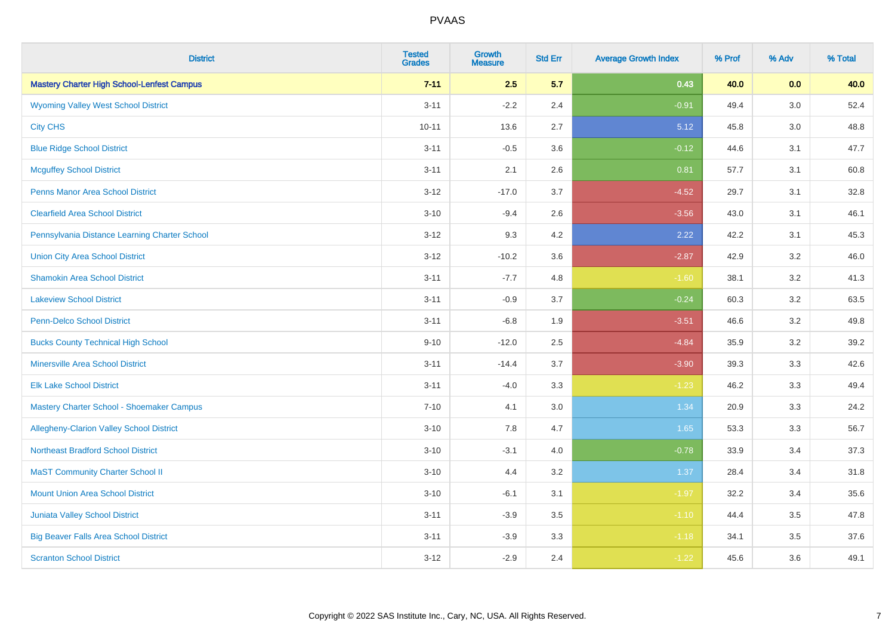| <b>District</b>                                   | <b>Tested</b><br><b>Grades</b> | <b>Growth</b><br><b>Measure</b> | <b>Std Err</b> | <b>Average Growth Index</b> | % Prof | % Adv   | % Total |
|---------------------------------------------------|--------------------------------|---------------------------------|----------------|-----------------------------|--------|---------|---------|
| <b>Mastery Charter High School-Lenfest Campus</b> | $7 - 11$                       | 2.5                             | 5.7            | 0.43                        | 40.0   | 0.0     | 40.0    |
| <b>Wyoming Valley West School District</b>        | $3 - 11$                       | $-2.2$                          | 2.4            | $-0.91$                     | 49.4   | 3.0     | 52.4    |
| <b>City CHS</b>                                   | $10 - 11$                      | 13.6                            | 2.7            | 5.12                        | 45.8   | 3.0     | 48.8    |
| <b>Blue Ridge School District</b>                 | $3 - 11$                       | $-0.5$                          | 3.6            | $-0.12$                     | 44.6   | 3.1     | 47.7    |
| <b>Mcguffey School District</b>                   | $3 - 11$                       | 2.1                             | 2.6            | 0.81                        | 57.7   | 3.1     | 60.8    |
| <b>Penns Manor Area School District</b>           | $3 - 12$                       | $-17.0$                         | 3.7            | $-4.52$                     | 29.7   | 3.1     | 32.8    |
| <b>Clearfield Area School District</b>            | $3 - 10$                       | $-9.4$                          | 2.6            | $-3.56$                     | 43.0   | 3.1     | 46.1    |
| Pennsylvania Distance Learning Charter School     | $3 - 12$                       | 9.3                             | 4.2            | 2.22                        | 42.2   | 3.1     | 45.3    |
| <b>Union City Area School District</b>            | $3 - 12$                       | $-10.2$                         | 3.6            | $-2.87$                     | 42.9   | 3.2     | 46.0    |
| <b>Shamokin Area School District</b>              | $3 - 11$                       | $-7.7$                          | 4.8            | $-1.60$                     | 38.1   | $3.2\,$ | 41.3    |
| <b>Lakeview School District</b>                   | $3 - 11$                       | $-0.9$                          | 3.7            | $-0.24$                     | 60.3   | 3.2     | 63.5    |
| <b>Penn-Delco School District</b>                 | $3 - 11$                       | $-6.8$                          | 1.9            | $-3.51$                     | 46.6   | 3.2     | 49.8    |
| <b>Bucks County Technical High School</b>         | $9 - 10$                       | $-12.0$                         | 2.5            | $-4.84$                     | 35.9   | 3.2     | 39.2    |
| <b>Minersville Area School District</b>           | $3 - 11$                       | $-14.4$                         | 3.7            | $-3.90$                     | 39.3   | 3.3     | 42.6    |
| <b>Elk Lake School District</b>                   | $3 - 11$                       | $-4.0$                          | 3.3            | $-1.23$                     | 46.2   | 3.3     | 49.4    |
| Mastery Charter School - Shoemaker Campus         | $7 - 10$                       | 4.1                             | 3.0            | 1.34                        | 20.9   | 3.3     | 24.2    |
| Allegheny-Clarion Valley School District          | $3 - 10$                       | 7.8                             | 4.7            | 1.65                        | 53.3   | 3.3     | 56.7    |
| <b>Northeast Bradford School District</b>         | $3 - 10$                       | $-3.1$                          | 4.0            | $-0.78$                     | 33.9   | 3.4     | 37.3    |
| <b>MaST Community Charter School II</b>           | $3 - 10$                       | 4.4                             | 3.2            | 1.37                        | 28.4   | 3.4     | 31.8    |
| <b>Mount Union Area School District</b>           | $3 - 10$                       | $-6.1$                          | 3.1            | $-1.97$                     | 32.2   | 3.4     | 35.6    |
| <b>Juniata Valley School District</b>             | $3 - 11$                       | $-3.9$                          | 3.5            | $-1.10$                     | 44.4   | 3.5     | 47.8    |
| <b>Big Beaver Falls Area School District</b>      | $3 - 11$                       | $-3.9$                          | 3.3            | $-1.18$                     | 34.1   | 3.5     | 37.6    |
| <b>Scranton School District</b>                   | $3 - 12$                       | $-2.9$                          | 2.4            | $-1.22$                     | 45.6   | 3.6     | 49.1    |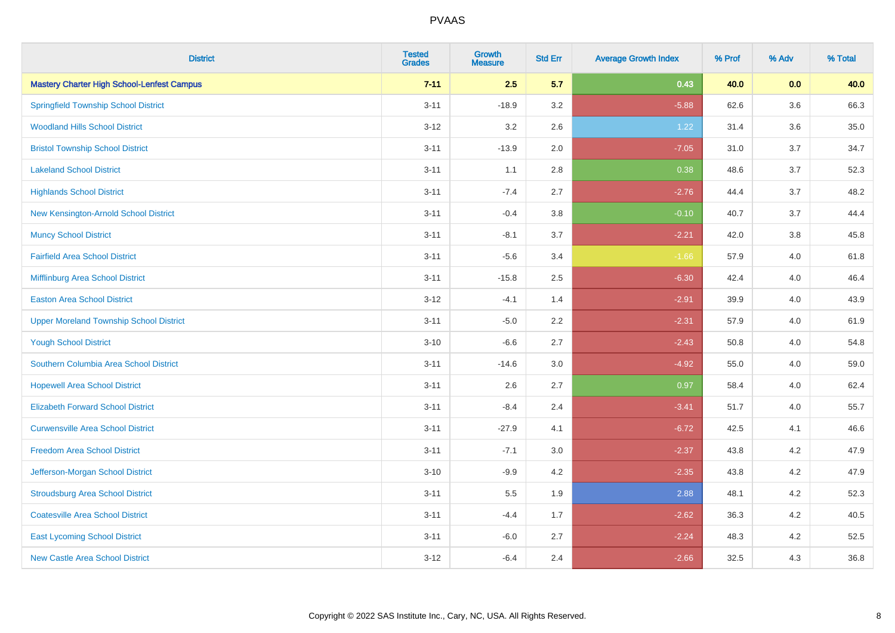| <b>District</b>                                   | <b>Tested</b><br><b>Grades</b> | <b>Growth</b><br><b>Measure</b> | <b>Std Err</b> | <b>Average Growth Index</b> | % Prof | % Adv | % Total |
|---------------------------------------------------|--------------------------------|---------------------------------|----------------|-----------------------------|--------|-------|---------|
| <b>Mastery Charter High School-Lenfest Campus</b> | $7 - 11$                       | 2.5                             | 5.7            | 0.43                        | 40.0   | 0.0   | 40.0    |
| <b>Springfield Township School District</b>       | $3 - 11$                       | $-18.9$                         | 3.2            | $-5.88$                     | 62.6   | 3.6   | 66.3    |
| <b>Woodland Hills School District</b>             | $3 - 12$                       | 3.2                             | 2.6            | 1.22                        | 31.4   | 3.6   | 35.0    |
| <b>Bristol Township School District</b>           | $3 - 11$                       | $-13.9$                         | 2.0            | $-7.05$                     | 31.0   | 3.7   | 34.7    |
| <b>Lakeland School District</b>                   | $3 - 11$                       | 1.1                             | 2.8            | 0.38                        | 48.6   | 3.7   | 52.3    |
| <b>Highlands School District</b>                  | $3 - 11$                       | $-7.4$                          | 2.7            | $-2.76$                     | 44.4   | 3.7   | 48.2    |
| New Kensington-Arnold School District             | $3 - 11$                       | $-0.4$                          | 3.8            | $-0.10$                     | 40.7   | 3.7   | 44.4    |
| <b>Muncy School District</b>                      | $3 - 11$                       | $-8.1$                          | 3.7            | $-2.21$                     | 42.0   | 3.8   | 45.8    |
| <b>Fairfield Area School District</b>             | $3 - 11$                       | $-5.6$                          | 3.4            | $-1.66$                     | 57.9   | 4.0   | 61.8    |
| Mifflinburg Area School District                  | $3 - 11$                       | $-15.8$                         | 2.5            | $-6.30$                     | 42.4   | 4.0   | 46.4    |
| <b>Easton Area School District</b>                | $3 - 12$                       | $-4.1$                          | 1.4            | $-2.91$                     | 39.9   | 4.0   | 43.9    |
| <b>Upper Moreland Township School District</b>    | $3 - 11$                       | $-5.0$                          | 2.2            | $-2.31$                     | 57.9   | 4.0   | 61.9    |
| <b>Yough School District</b>                      | $3 - 10$                       | $-6.6$                          | 2.7            | $-2.43$                     | 50.8   | 4.0   | 54.8    |
| Southern Columbia Area School District            | $3 - 11$                       | $-14.6$                         | 3.0            | $-4.92$                     | 55.0   | 4.0   | 59.0    |
| <b>Hopewell Area School District</b>              | $3 - 11$                       | 2.6                             | 2.7            | 0.97                        | 58.4   | 4.0   | 62.4    |
| <b>Elizabeth Forward School District</b>          | $3 - 11$                       | $-8.4$                          | 2.4            | $-3.41$                     | 51.7   | 4.0   | 55.7    |
| <b>Curwensville Area School District</b>          | $3 - 11$                       | $-27.9$                         | 4.1            | $-6.72$                     | 42.5   | 4.1   | 46.6    |
| <b>Freedom Area School District</b>               | $3 - 11$                       | $-7.1$                          | 3.0            | $-2.37$                     | 43.8   | 4.2   | 47.9    |
| Jefferson-Morgan School District                  | $3 - 10$                       | $-9.9$                          | 4.2            | $-2.35$                     | 43.8   | 4.2   | 47.9    |
| <b>Stroudsburg Area School District</b>           | $3 - 11$                       | $5.5\,$                         | 1.9            | 2.88                        | 48.1   | 4.2   | 52.3    |
| <b>Coatesville Area School District</b>           | $3 - 11$                       | $-4.4$                          | 1.7            | $-2.62$                     | 36.3   | 4.2   | 40.5    |
| <b>East Lycoming School District</b>              | $3 - 11$                       | $-6.0$                          | 2.7            | $-2.24$                     | 48.3   | 4.2   | 52.5    |
| <b>New Castle Area School District</b>            | $3 - 12$                       | $-6.4$                          | 2.4            | $-2.66$                     | 32.5   | 4.3   | 36.8    |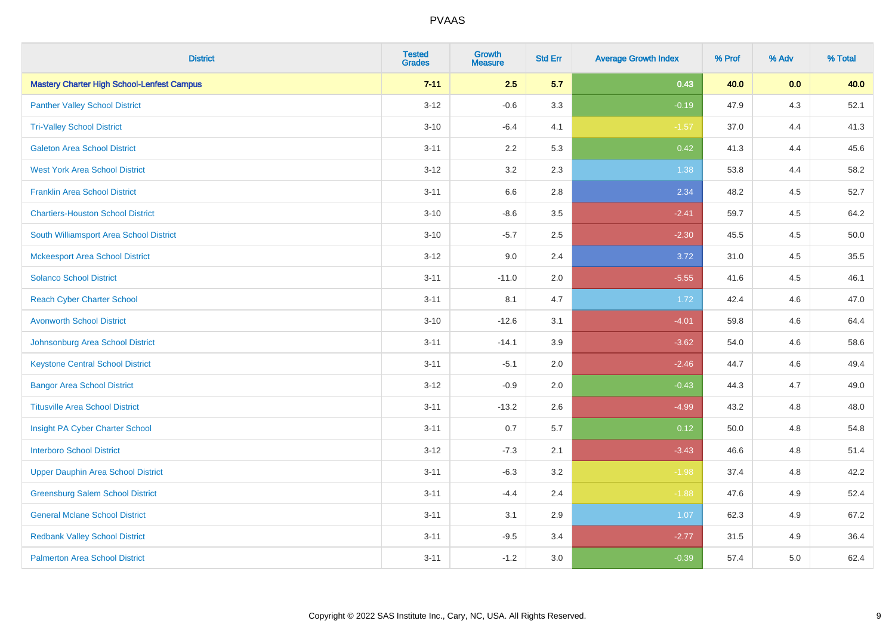| <b>District</b>                                   | <b>Tested</b><br><b>Grades</b> | <b>Growth</b><br><b>Measure</b> | <b>Std Err</b> | <b>Average Growth Index</b> | % Prof | % Adv   | % Total |
|---------------------------------------------------|--------------------------------|---------------------------------|----------------|-----------------------------|--------|---------|---------|
| <b>Mastery Charter High School-Lenfest Campus</b> | $7 - 11$                       | 2.5                             | 5.7            | 0.43                        | 40.0   | 0.0     | 40.0    |
| <b>Panther Valley School District</b>             | $3 - 12$                       | $-0.6$                          | 3.3            | $-0.19$                     | 47.9   | $4.3$   | 52.1    |
| <b>Tri-Valley School District</b>                 | $3 - 10$                       | $-6.4$                          | 4.1            | $-1.57$                     | 37.0   | 4.4     | 41.3    |
| <b>Galeton Area School District</b>               | $3 - 11$                       | 2.2                             | 5.3            | 0.42                        | 41.3   | 4.4     | 45.6    |
| <b>West York Area School District</b>             | $3 - 12$                       | 3.2                             | 2.3            | 1.38                        | 53.8   | 4.4     | 58.2    |
| <b>Franklin Area School District</b>              | $3 - 11$                       | 6.6                             | 2.8            | 2.34                        | 48.2   | 4.5     | 52.7    |
| <b>Chartiers-Houston School District</b>          | $3 - 10$                       | $-8.6$                          | 3.5            | $-2.41$                     | 59.7   | 4.5     | 64.2    |
| South Williamsport Area School District           | $3 - 10$                       | $-5.7$                          | 2.5            | $-2.30$                     | 45.5   | 4.5     | 50.0    |
| <b>Mckeesport Area School District</b>            | $3 - 12$                       | 9.0                             | 2.4            | 3.72                        | 31.0   | 4.5     | 35.5    |
| <b>Solanco School District</b>                    | $3 - 11$                       | $-11.0$                         | 2.0            | $-5.55$                     | 41.6   | $4.5\,$ | 46.1    |
| <b>Reach Cyber Charter School</b>                 | $3 - 11$                       | 8.1                             | 4.7            | 1.72                        | 42.4   | 4.6     | 47.0    |
| <b>Avonworth School District</b>                  | $3 - 10$                       | $-12.6$                         | 3.1            | $-4.01$                     | 59.8   | 4.6     | 64.4    |
| Johnsonburg Area School District                  | $3 - 11$                       | $-14.1$                         | 3.9            | $-3.62$                     | 54.0   | 4.6     | 58.6    |
| <b>Keystone Central School District</b>           | $3 - 11$                       | $-5.1$                          | 2.0            | $-2.46$                     | 44.7   | 4.6     | 49.4    |
| <b>Bangor Area School District</b>                | $3-12$                         | $-0.9$                          | 2.0            | $-0.43$                     | 44.3   | 4.7     | 49.0    |
| <b>Titusville Area School District</b>            | $3 - 11$                       | $-13.2$                         | 2.6            | $-4.99$                     | 43.2   | 4.8     | 48.0    |
| Insight PA Cyber Charter School                   | $3 - 11$                       | 0.7                             | 5.7            | 0.12                        | 50.0   | 4.8     | 54.8    |
| <b>Interboro School District</b>                  | $3 - 12$                       | $-7.3$                          | 2.1            | $-3.43$                     | 46.6   | 4.8     | 51.4    |
| <b>Upper Dauphin Area School District</b>         | $3 - 11$                       | $-6.3$                          | 3.2            | $-1.98$                     | 37.4   | 4.8     | 42.2    |
| <b>Greensburg Salem School District</b>           | $3 - 11$                       | $-4.4$                          | 2.4            | $-1.88$                     | 47.6   | 4.9     | 52.4    |
| <b>General Mclane School District</b>             | $3 - 11$                       | 3.1                             | 2.9            | 1.07                        | 62.3   | 4.9     | 67.2    |
| <b>Redbank Valley School District</b>             | $3 - 11$                       | $-9.5$                          | 3.4            | $-2.77$                     | 31.5   | 4.9     | 36.4    |
| <b>Palmerton Area School District</b>             | $3 - 11$                       | $-1.2$                          | 3.0            | $-0.39$                     | 57.4   | 5.0     | 62.4    |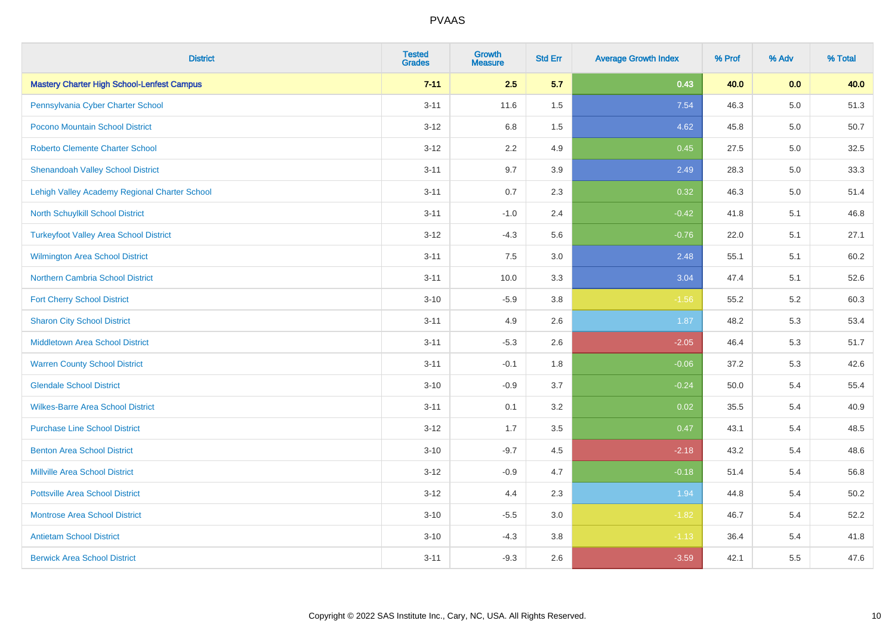| <b>District</b>                                   | <b>Tested</b><br><b>Grades</b> | Growth<br><b>Measure</b> | <b>Std Err</b> | <b>Average Growth Index</b> | % Prof | % Adv   | % Total |
|---------------------------------------------------|--------------------------------|--------------------------|----------------|-----------------------------|--------|---------|---------|
| <b>Mastery Charter High School-Lenfest Campus</b> | $7 - 11$                       | 2.5                      | 5.7            | 0.43                        | 40.0   | 0.0     | 40.0    |
| Pennsylvania Cyber Charter School                 | $3 - 11$                       | 11.6                     | 1.5            | 7.54                        | 46.3   | $5.0\,$ | 51.3    |
| Pocono Mountain School District                   | $3 - 12$                       | 6.8                      | $1.5$          | 4.62                        | 45.8   | 5.0     | 50.7    |
| <b>Roberto Clemente Charter School</b>            | $3 - 12$                       | 2.2                      | 4.9            | 0.45                        | 27.5   | 5.0     | 32.5    |
| <b>Shenandoah Valley School District</b>          | $3 - 11$                       | 9.7                      | 3.9            | 2.49                        | 28.3   | 5.0     | 33.3    |
| Lehigh Valley Academy Regional Charter School     | $3 - 11$                       | 0.7                      | 2.3            | 0.32                        | 46.3   | $5.0\,$ | 51.4    |
| North Schuylkill School District                  | $3 - 11$                       | $-1.0$                   | 2.4            | $-0.42$                     | 41.8   | 5.1     | 46.8    |
| <b>Turkeyfoot Valley Area School District</b>     | $3 - 12$                       | $-4.3$                   | 5.6            | $-0.76$                     | 22.0   | 5.1     | 27.1    |
| <b>Wilmington Area School District</b>            | $3 - 11$                       | 7.5                      | 3.0            | 2.48                        | 55.1   | 5.1     | 60.2    |
| <b>Northern Cambria School District</b>           | $3 - 11$                       | 10.0                     | 3.3            | 3.04                        | 47.4   | 5.1     | 52.6    |
| <b>Fort Cherry School District</b>                | $3 - 10$                       | $-5.9$                   | 3.8            | $-1.56$                     | 55.2   | 5.2     | 60.3    |
| <b>Sharon City School District</b>                | $3 - 11$                       | 4.9                      | 2.6            | 1.87                        | 48.2   | 5.3     | 53.4    |
| Middletown Area School District                   | $3 - 11$                       | $-5.3$                   | 2.6            | $-2.05$                     | 46.4   | 5.3     | 51.7    |
| <b>Warren County School District</b>              | $3 - 11$                       | $-0.1$                   | 1.8            | $-0.06$                     | 37.2   | 5.3     | 42.6    |
| <b>Glendale School District</b>                   | $3 - 10$                       | $-0.9$                   | 3.7            | $-0.24$                     | 50.0   | 5.4     | 55.4    |
| <b>Wilkes-Barre Area School District</b>          | $3 - 11$                       | 0.1                      | 3.2            | 0.02                        | 35.5   | 5.4     | 40.9    |
| <b>Purchase Line School District</b>              | $3 - 12$                       | 1.7                      | 3.5            | 0.47                        | 43.1   | 5.4     | 48.5    |
| <b>Benton Area School District</b>                | $3 - 10$                       | $-9.7$                   | 4.5            | $-2.18$                     | 43.2   | 5.4     | 48.6    |
| <b>Millville Area School District</b>             | $3 - 12$                       | $-0.9$                   | 4.7            | $-0.18$                     | 51.4   | 5.4     | 56.8    |
| <b>Pottsville Area School District</b>            | $3 - 12$                       | 4.4                      | 2.3            | 1.94                        | 44.8   | 5.4     | 50.2    |
| <b>Montrose Area School District</b>              | $3 - 10$                       | $-5.5$                   | 3.0            | $-1.82$                     | 46.7   | 5.4     | 52.2    |
| <b>Antietam School District</b>                   | $3 - 10$                       | $-4.3$                   | 3.8            | $-1.13$                     | 36.4   | 5.4     | 41.8    |
| <b>Berwick Area School District</b>               | $3 - 11$                       | $-9.3$                   | 2.6            | $-3.59$                     | 42.1   | 5.5     | 47.6    |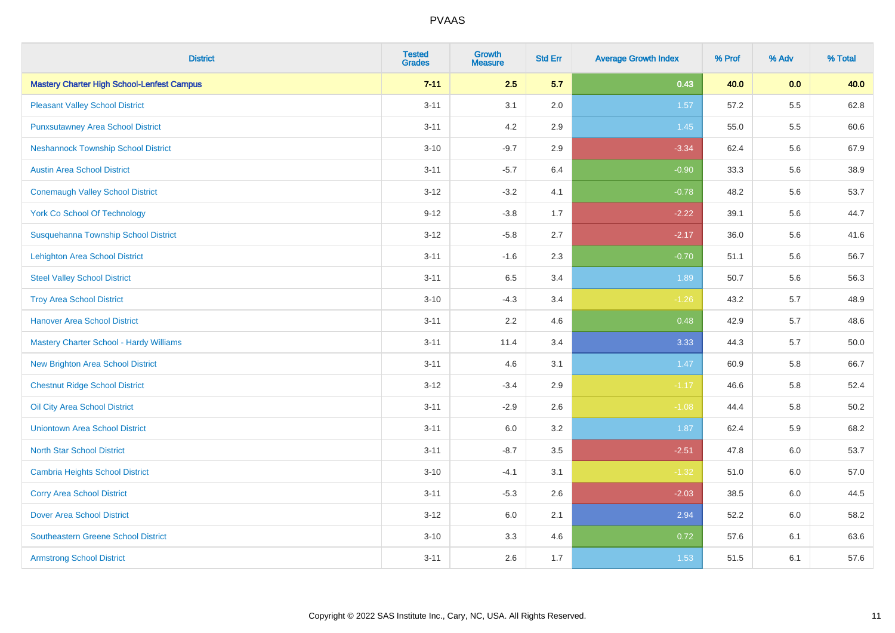| <b>District</b>                                   | <b>Tested</b><br><b>Grades</b> | <b>Growth</b><br><b>Measure</b> | <b>Std Err</b> | <b>Average Growth Index</b> | % Prof | % Adv   | % Total |
|---------------------------------------------------|--------------------------------|---------------------------------|----------------|-----------------------------|--------|---------|---------|
| <b>Mastery Charter High School-Lenfest Campus</b> | $7 - 11$                       | 2.5                             | 5.7            | 0.43                        | 40.0   | 0.0     | 40.0    |
| <b>Pleasant Valley School District</b>            | $3 - 11$                       | 3.1                             | 2.0            | 1.57                        | 57.2   | $5.5\,$ | 62.8    |
| <b>Punxsutawney Area School District</b>          | $3 - 11$                       | 4.2                             | 2.9            | 1.45                        | 55.0   | 5.5     | 60.6    |
| <b>Neshannock Township School District</b>        | $3 - 10$                       | $-9.7$                          | 2.9            | $-3.34$                     | 62.4   | 5.6     | 67.9    |
| <b>Austin Area School District</b>                | $3 - 11$                       | $-5.7$                          | 6.4            | $-0.90$                     | 33.3   | 5.6     | 38.9    |
| <b>Conemaugh Valley School District</b>           | $3 - 12$                       | $-3.2$                          | 4.1            | $-0.78$                     | 48.2   | 5.6     | 53.7    |
| <b>York Co School Of Technology</b>               | $9 - 12$                       | $-3.8$                          | 1.7            | $-2.22$                     | 39.1   | 5.6     | 44.7    |
| Susquehanna Township School District              | $3 - 12$                       | $-5.8$                          | 2.7            | $-2.17$                     | 36.0   | 5.6     | 41.6    |
| <b>Lehighton Area School District</b>             | $3 - 11$                       | $-1.6$                          | 2.3            | $-0.70$                     | 51.1   | 5.6     | 56.7    |
| <b>Steel Valley School District</b>               | $3 - 11$                       | 6.5                             | 3.4            | 1.89                        | 50.7   | 5.6     | 56.3    |
| <b>Troy Area School District</b>                  | $3 - 10$                       | $-4.3$                          | 3.4            | $-1.26$                     | 43.2   | 5.7     | 48.9    |
| <b>Hanover Area School District</b>               | $3 - 11$                       | 2.2                             | 4.6            | 0.48                        | 42.9   | 5.7     | 48.6    |
| Mastery Charter School - Hardy Williams           | $3 - 11$                       | 11.4                            | 3.4            | 3.33                        | 44.3   | 5.7     | 50.0    |
| New Brighton Area School District                 | $3 - 11$                       | 4.6                             | 3.1            | 1.47                        | 60.9   | 5.8     | 66.7    |
| <b>Chestnut Ridge School District</b>             | $3 - 12$                       | $-3.4$                          | 2.9            | $-1.17$                     | 46.6   | 5.8     | 52.4    |
| Oil City Area School District                     | $3 - 11$                       | $-2.9$                          | 2.6            | $-1.08$                     | 44.4   | 5.8     | 50.2    |
| <b>Uniontown Area School District</b>             | $3 - 11$                       | 6.0                             | 3.2            | 1.87                        | 62.4   | 5.9     | 68.2    |
| <b>North Star School District</b>                 | $3 - 11$                       | $-8.7$                          | 3.5            | $-2.51$                     | 47.8   | 6.0     | 53.7    |
| <b>Cambria Heights School District</b>            | $3 - 10$                       | $-4.1$                          | 3.1            | $-1.32$                     | 51.0   | 6.0     | 57.0    |
| <b>Corry Area School District</b>                 | $3 - 11$                       | $-5.3$                          | 2.6            | $-2.03$                     | 38.5   | 6.0     | 44.5    |
| <b>Dover Area School District</b>                 | $3 - 12$                       | 6.0                             | 2.1            | 2.94                        | 52.2   | 6.0     | 58.2    |
| <b>Southeastern Greene School District</b>        | $3 - 10$                       | 3.3                             | 4.6            | 0.72                        | 57.6   | 6.1     | 63.6    |
| <b>Armstrong School District</b>                  | $3 - 11$                       | 2.6                             | 1.7            | 1.53                        | 51.5   | 6.1     | 57.6    |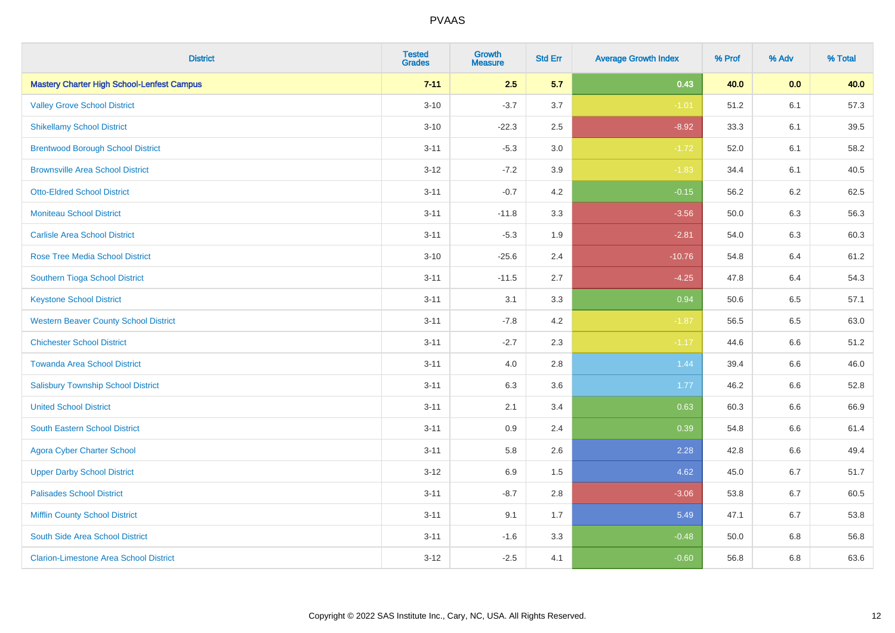| <b>District</b>                                   | <b>Tested</b><br><b>Grades</b> | Growth<br><b>Measure</b> | <b>Std Err</b> | <b>Average Growth Index</b> | % Prof | % Adv   | % Total |
|---------------------------------------------------|--------------------------------|--------------------------|----------------|-----------------------------|--------|---------|---------|
| <b>Mastery Charter High School-Lenfest Campus</b> | $7 - 11$                       | 2.5                      | 5.7            | 0.43                        | 40.0   | 0.0     | 40.0    |
| <b>Valley Grove School District</b>               | $3 - 10$                       | $-3.7$                   | 3.7            | $-1.01$                     | 51.2   | 6.1     | 57.3    |
| <b>Shikellamy School District</b>                 | $3 - 10$                       | $-22.3$                  | 2.5            | $-8.92$                     | 33.3   | 6.1     | 39.5    |
| <b>Brentwood Borough School District</b>          | $3 - 11$                       | $-5.3$                   | 3.0            | $-1.72$                     | 52.0   | 6.1     | 58.2    |
| <b>Brownsville Area School District</b>           | $3 - 12$                       | $-7.2$                   | 3.9            | $-1.83$                     | 34.4   | 6.1     | 40.5    |
| <b>Otto-Eldred School District</b>                | $3 - 11$                       | $-0.7$                   | 4.2            | $-0.15$                     | 56.2   | $6.2\,$ | 62.5    |
| <b>Moniteau School District</b>                   | $3 - 11$                       | $-11.8$                  | 3.3            | $-3.56$                     | 50.0   | 6.3     | 56.3    |
| <b>Carlisle Area School District</b>              | $3 - 11$                       | $-5.3$                   | 1.9            | $-2.81$                     | 54.0   | 6.3     | 60.3    |
| <b>Rose Tree Media School District</b>            | $3 - 10$                       | $-25.6$                  | 2.4            | $-10.76$                    | 54.8   | 6.4     | 61.2    |
| Southern Tioga School District                    | $3 - 11$                       | $-11.5$                  | 2.7            | $-4.25$                     | 47.8   | 6.4     | 54.3    |
| <b>Keystone School District</b>                   | $3 - 11$                       | 3.1                      | 3.3            | 0.94                        | 50.6   | 6.5     | 57.1    |
| <b>Western Beaver County School District</b>      | $3 - 11$                       | $-7.8$                   | 4.2            | $-1.87$                     | 56.5   | 6.5     | 63.0    |
| <b>Chichester School District</b>                 | $3 - 11$                       | $-2.7$                   | 2.3            | $-1.17$                     | 44.6   | 6.6     | 51.2    |
| <b>Towanda Area School District</b>               | $3 - 11$                       | 4.0                      | 2.8            | 1.44                        | 39.4   | 6.6     | 46.0    |
| <b>Salisbury Township School District</b>         | $3 - 11$                       | 6.3                      | 3.6            | 1.77                        | 46.2   | 6.6     | 52.8    |
| <b>United School District</b>                     | $3 - 11$                       | 2.1                      | 3.4            | 0.63                        | 60.3   | 6.6     | 66.9    |
| <b>South Eastern School District</b>              | $3 - 11$                       | 0.9                      | 2.4            | 0.39                        | 54.8   | 6.6     | 61.4    |
| <b>Agora Cyber Charter School</b>                 | $3 - 11$                       | 5.8                      | 2.6            | 2.28                        | 42.8   | 6.6     | 49.4    |
| <b>Upper Darby School District</b>                | $3 - 12$                       | 6.9                      | 1.5            | 4.62                        | 45.0   | 6.7     | 51.7    |
| <b>Palisades School District</b>                  | $3 - 11$                       | $-8.7$                   | 2.8            | $-3.06$                     | 53.8   | 6.7     | 60.5    |
| <b>Mifflin County School District</b>             | $3 - 11$                       | 9.1                      | 1.7            | 5.49                        | 47.1   | 6.7     | 53.8    |
| South Side Area School District                   | $3 - 11$                       | $-1.6$                   | 3.3            | $-0.48$                     | 50.0   | 6.8     | 56.8    |
| <b>Clarion-Limestone Area School District</b>     | $3 - 12$                       | $-2.5$                   | 4.1            | $-0.60$                     | 56.8   | 6.8     | 63.6    |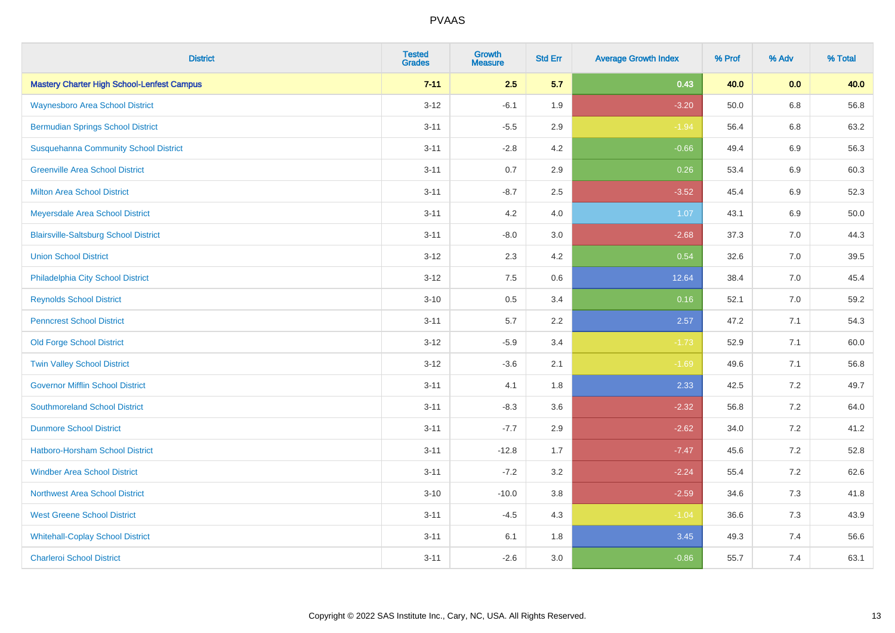| <b>District</b>                                   | <b>Tested</b><br><b>Grades</b> | <b>Growth</b><br><b>Measure</b> | <b>Std Err</b> | <b>Average Growth Index</b> | % Prof | % Adv   | % Total |
|---------------------------------------------------|--------------------------------|---------------------------------|----------------|-----------------------------|--------|---------|---------|
| <b>Mastery Charter High School-Lenfest Campus</b> | $7 - 11$                       | 2.5                             | 5.7            | 0.43                        | 40.0   | 0.0     | 40.0    |
| <b>Waynesboro Area School District</b>            | $3 - 12$                       | $-6.1$                          | 1.9            | $-3.20$                     | 50.0   | $6.8\,$ | 56.8    |
| <b>Bermudian Springs School District</b>          | $3 - 11$                       | $-5.5$                          | 2.9            | $-1.94$                     | 56.4   | 6.8     | 63.2    |
| <b>Susquehanna Community School District</b>      | $3 - 11$                       | $-2.8$                          | 4.2            | $-0.66$                     | 49.4   | $6.9\,$ | 56.3    |
| <b>Greenville Area School District</b>            | $3 - 11$                       | 0.7                             | 2.9            | 0.26                        | 53.4   | 6.9     | 60.3    |
| <b>Milton Area School District</b>                | $3 - 11$                       | $-8.7$                          | 2.5            | $-3.52$                     | 45.4   | $6.9\,$ | 52.3    |
| Meyersdale Area School District                   | $3 - 11$                       | 4.2                             | 4.0            | 1.07                        | 43.1   | 6.9     | 50.0    |
| <b>Blairsville-Saltsburg School District</b>      | $3 - 11$                       | $-8.0$                          | 3.0            | $-2.68$                     | 37.3   | 7.0     | 44.3    |
| <b>Union School District</b>                      | $3 - 12$                       | 2.3                             | 4.2            | 0.54                        | 32.6   | 7.0     | 39.5    |
| Philadelphia City School District                 | $3 - 12$                       | 7.5                             | 0.6            | 12.64                       | 38.4   | 7.0     | 45.4    |
| <b>Reynolds School District</b>                   | $3 - 10$                       | 0.5                             | 3.4            | 0.16                        | 52.1   | 7.0     | 59.2    |
| <b>Penncrest School District</b>                  | $3 - 11$                       | 5.7                             | 2.2            | 2.57                        | 47.2   | 7.1     | 54.3    |
| <b>Old Forge School District</b>                  | $3 - 12$                       | $-5.9$                          | 3.4            | $-1.73$                     | 52.9   | 7.1     | 60.0    |
| <b>Twin Valley School District</b>                | $3 - 12$                       | $-3.6$                          | 2.1            | $-1.69$                     | 49.6   | 7.1     | 56.8    |
| <b>Governor Mifflin School District</b>           | $3 - 11$                       | 4.1                             | 1.8            | 2.33                        | 42.5   | 7.2     | 49.7    |
| <b>Southmoreland School District</b>              | $3 - 11$                       | $-8.3$                          | 3.6            | $-2.32$                     | 56.8   | 7.2     | 64.0    |
| <b>Dunmore School District</b>                    | $3 - 11$                       | $-7.7$                          | 2.9            | $-2.62$                     | 34.0   | 7.2     | 41.2    |
| <b>Hatboro-Horsham School District</b>            | $3 - 11$                       | $-12.8$                         | 1.7            | $-7.47$                     | 45.6   | 7.2     | 52.8    |
| <b>Windber Area School District</b>               | $3 - 11$                       | $-7.2$                          | 3.2            | $-2.24$                     | 55.4   | 7.2     | 62.6    |
| <b>Northwest Area School District</b>             | $3 - 10$                       | $-10.0$                         | 3.8            | $-2.59$                     | 34.6   | 7.3     | 41.8    |
| <b>West Greene School District</b>                | $3 - 11$                       | $-4.5$                          | 4.3            | $-1.04$                     | 36.6   | 7.3     | 43.9    |
| <b>Whitehall-Coplay School District</b>           | $3 - 11$                       | 6.1                             | 1.8            | 3.45                        | 49.3   | 7.4     | 56.6    |
| <b>Charleroi School District</b>                  | $3 - 11$                       | $-2.6$                          | 3.0            | $-0.86$                     | 55.7   | 7.4     | 63.1    |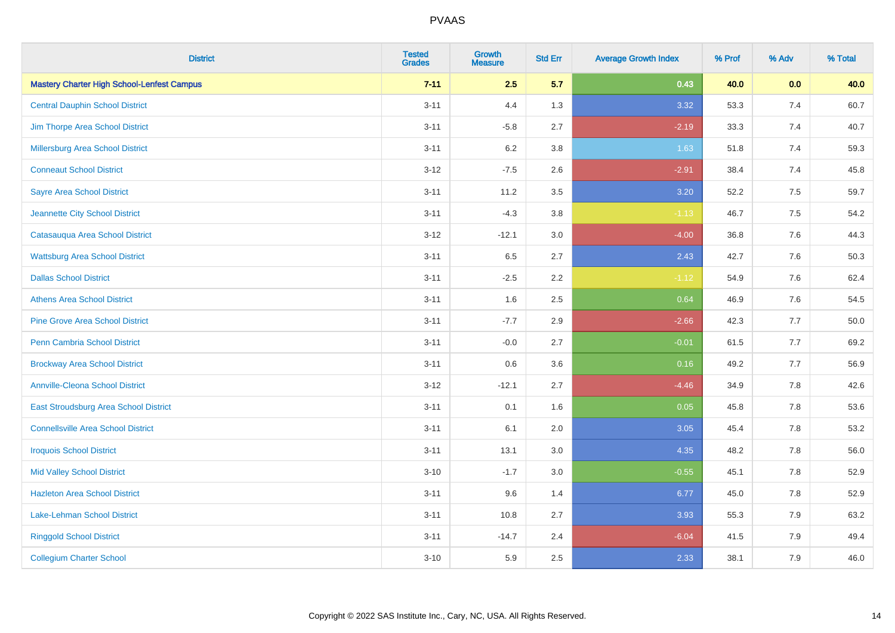| <b>District</b>                                   | <b>Tested</b><br><b>Grades</b> | Growth<br>Measure | <b>Std Err</b> | <b>Average Growth Index</b> | % Prof | % Adv   | % Total |
|---------------------------------------------------|--------------------------------|-------------------|----------------|-----------------------------|--------|---------|---------|
| <b>Mastery Charter High School-Lenfest Campus</b> | $7 - 11$                       | 2.5               | 5.7            | 0.43                        | 40.0   | 0.0     | 40.0    |
| <b>Central Dauphin School District</b>            | $3 - 11$                       | 4.4               | 1.3            | 3.32                        | 53.3   | 7.4     | 60.7    |
| Jim Thorpe Area School District                   | $3 - 11$                       | $-5.8$            | 2.7            | $-2.19$                     | 33.3   | 7.4     | 40.7    |
| Millersburg Area School District                  | $3 - 11$                       | 6.2               | 3.8            | 1.63                        | 51.8   | 7.4     | 59.3    |
| <b>Conneaut School District</b>                   | $3 - 12$                       | $-7.5$            | 2.6            | $-2.91$                     | 38.4   | 7.4     | 45.8    |
| <b>Sayre Area School District</b>                 | $3 - 11$                       | 11.2              | 3.5            | 3.20                        | 52.2   | $7.5\,$ | 59.7    |
| Jeannette City School District                    | $3 - 11$                       | $-4.3$            | 3.8            | $-1.13$                     | 46.7   | 7.5     | 54.2    |
| Catasauqua Area School District                   | $3 - 12$                       | $-12.1$           | 3.0            | $-4.00$                     | 36.8   | 7.6     | 44.3    |
| <b>Wattsburg Area School District</b>             | $3 - 11$                       | 6.5               | 2.7            | 2.43                        | 42.7   | 7.6     | 50.3    |
| <b>Dallas School District</b>                     | $3 - 11$                       | $-2.5$            | 2.2            | $-1.12$                     | 54.9   | 7.6     | 62.4    |
| <b>Athens Area School District</b>                | $3 - 11$                       | 1.6               | 2.5            | 0.64                        | 46.9   | 7.6     | 54.5    |
| <b>Pine Grove Area School District</b>            | $3 - 11$                       | $-7.7$            | 2.9            | $-2.66$                     | 42.3   | 7.7     | 50.0    |
| Penn Cambria School District                      | $3 - 11$                       | $-0.0$            | 2.7            | $-0.01$                     | 61.5   | 7.7     | 69.2    |
| <b>Brockway Area School District</b>              | $3 - 11$                       | 0.6               | 3.6            | 0.16                        | 49.2   | 7.7     | 56.9    |
| <b>Annville-Cleona School District</b>            | $3 - 12$                       | $-12.1$           | 2.7            | $-4.46$                     | 34.9   | 7.8     | 42.6    |
| East Stroudsburg Area School District             | $3 - 11$                       | 0.1               | 1.6            | 0.05                        | 45.8   | $7.8\,$ | 53.6    |
| <b>Connellsville Area School District</b>         | $3 - 11$                       | 6.1               | 2.0            | 3.05                        | 45.4   | 7.8     | 53.2    |
| <b>Iroquois School District</b>                   | $3 - 11$                       | 13.1              | 3.0            | 4.35                        | 48.2   | 7.8     | 56.0    |
| <b>Mid Valley School District</b>                 | $3 - 10$                       | $-1.7$            | 3.0            | $-0.55$                     | 45.1   | 7.8     | 52.9    |
| <b>Hazleton Area School District</b>              | $3 - 11$                       | 9.6               | 1.4            | 6.77                        | 45.0   | 7.8     | 52.9    |
| Lake-Lehman School District                       | $3 - 11$                       | 10.8              | 2.7            | 3.93                        | 55.3   | 7.9     | 63.2    |
| <b>Ringgold School District</b>                   | $3 - 11$                       | $-14.7$           | 2.4            | $-6.04$                     | 41.5   | 7.9     | 49.4    |
| <b>Collegium Charter School</b>                   | $3 - 10$                       | 5.9               | 2.5            | 2.33                        | 38.1   | 7.9     | 46.0    |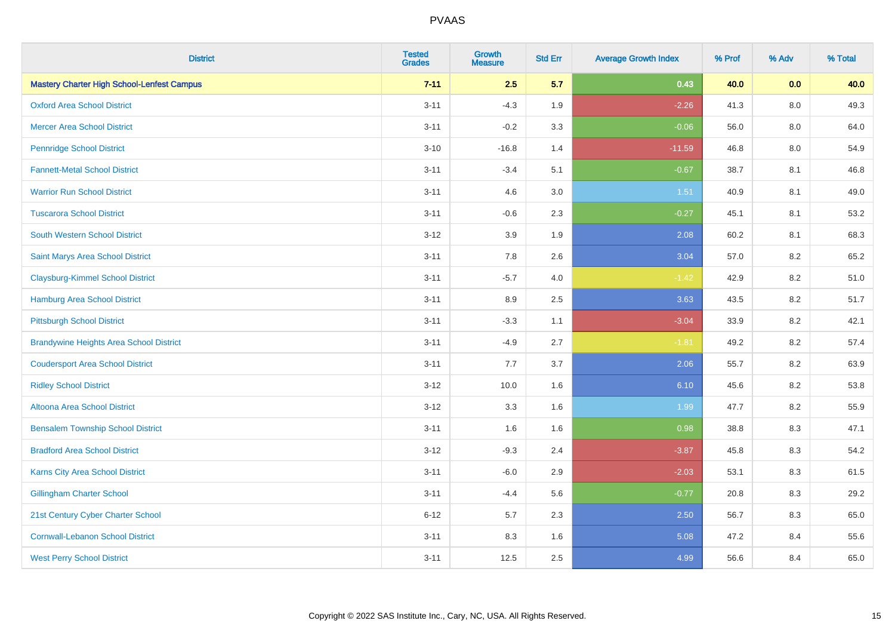| <b>District</b>                                   | <b>Tested</b><br><b>Grades</b> | <b>Growth</b><br><b>Measure</b> | <b>Std Err</b> | <b>Average Growth Index</b> | % Prof | % Adv   | % Total |
|---------------------------------------------------|--------------------------------|---------------------------------|----------------|-----------------------------|--------|---------|---------|
| <b>Mastery Charter High School-Lenfest Campus</b> | $7 - 11$                       | 2.5                             | 5.7            | 0.43                        | 40.0   | 0.0     | 40.0    |
| <b>Oxford Area School District</b>                | $3 - 11$                       | $-4.3$                          | 1.9            | $-2.26$                     | 41.3   | $8.0\,$ | 49.3    |
| <b>Mercer Area School District</b>                | $3 - 11$                       | $-0.2$                          | 3.3            | $-0.06$                     | 56.0   | 8.0     | 64.0    |
| <b>Pennridge School District</b>                  | $3 - 10$                       | $-16.8$                         | 1.4            | $-11.59$                    | 46.8   | $8.0\,$ | 54.9    |
| <b>Fannett-Metal School District</b>              | $3 - 11$                       | $-3.4$                          | 5.1            | $-0.67$                     | 38.7   | 8.1     | 46.8    |
| <b>Warrior Run School District</b>                | $3 - 11$                       | 4.6                             | 3.0            | 1.51                        | 40.9   | 8.1     | 49.0    |
| <b>Tuscarora School District</b>                  | $3 - 11$                       | $-0.6$                          | 2.3            | $-0.27$                     | 45.1   | 8.1     | 53.2    |
| <b>South Western School District</b>              | $3 - 12$                       | 3.9                             | 1.9            | 2.08                        | 60.2   | 8.1     | 68.3    |
| Saint Marys Area School District                  | $3 - 11$                       | 7.8                             | 2.6            | 3.04                        | 57.0   | 8.2     | 65.2    |
| <b>Claysburg-Kimmel School District</b>           | $3 - 11$                       | $-5.7$                          | 4.0            | $-1.42$                     | 42.9   | $8.2\,$ | 51.0    |
| <b>Hamburg Area School District</b>               | $3 - 11$                       | 8.9                             | 2.5            | 3.63                        | 43.5   | 8.2     | 51.7    |
| <b>Pittsburgh School District</b>                 | $3 - 11$                       | $-3.3$                          | 1.1            | $-3.04$                     | 33.9   | 8.2     | 42.1    |
| <b>Brandywine Heights Area School District</b>    | $3 - 11$                       | $-4.9$                          | 2.7            | $-1.81$                     | 49.2   | 8.2     | 57.4    |
| <b>Coudersport Area School District</b>           | $3 - 11$                       | $7.7\,$                         | 3.7            | 2.06                        | 55.7   | 8.2     | 63.9    |
| <b>Ridley School District</b>                     | $3 - 12$                       | 10.0                            | 1.6            | 6.10                        | 45.6   | 8.2     | 53.8    |
| <b>Altoona Area School District</b>               | $3 - 12$                       | 3.3                             | 1.6            | 1.99                        | 47.7   | 8.2     | 55.9    |
| <b>Bensalem Township School District</b>          | $3 - 11$                       | 1.6                             | 1.6            | 0.98                        | 38.8   | 8.3     | 47.1    |
| <b>Bradford Area School District</b>              | $3 - 12$                       | $-9.3$                          | 2.4            | $-3.87$                     | 45.8   | 8.3     | 54.2    |
| Karns City Area School District                   | $3 - 11$                       | $-6.0$                          | 2.9            | $-2.03$                     | 53.1   | 8.3     | 61.5    |
| <b>Gillingham Charter School</b>                  | $3 - 11$                       | $-4.4$                          | 5.6            | $-0.77$                     | 20.8   | 8.3     | 29.2    |
| 21st Century Cyber Charter School                 | $6 - 12$                       | 5.7                             | 2.3            | 2.50                        | 56.7   | 8.3     | 65.0    |
| <b>Cornwall-Lebanon School District</b>           | $3 - 11$                       | 8.3                             | 1.6            | 5.08                        | 47.2   | 8.4     | 55.6    |
| <b>West Perry School District</b>                 | $3 - 11$                       | 12.5                            | 2.5            | 4.99                        | 56.6   | 8.4     | 65.0    |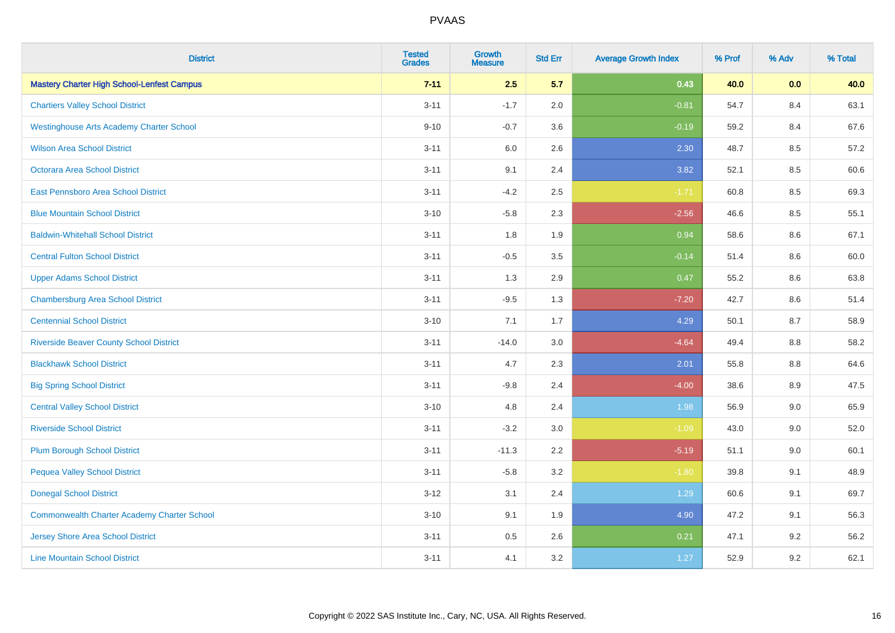| <b>District</b>                                    | <b>Tested</b><br><b>Grades</b> | <b>Growth</b><br><b>Measure</b> | <b>Std Err</b> | <b>Average Growth Index</b> | % Prof | % Adv   | % Total |
|----------------------------------------------------|--------------------------------|---------------------------------|----------------|-----------------------------|--------|---------|---------|
| <b>Mastery Charter High School-Lenfest Campus</b>  | $7 - 11$                       | 2.5                             | 5.7            | 0.43                        | 40.0   | 0.0     | 40.0    |
| <b>Chartiers Valley School District</b>            | $3 - 11$                       | $-1.7$                          | 2.0            | $-0.81$                     | 54.7   | 8.4     | 63.1    |
| <b>Westinghouse Arts Academy Charter School</b>    | $9 - 10$                       | $-0.7$                          | 3.6            | $-0.19$                     | 59.2   | 8.4     | 67.6    |
| <b>Wilson Area School District</b>                 | $3 - 11$                       | 6.0                             | 2.6            | 2.30                        | 48.7   | 8.5     | 57.2    |
| Octorara Area School District                      | $3 - 11$                       | 9.1                             | 2.4            | 3.82                        | 52.1   | 8.5     | 60.6    |
| East Pennsboro Area School District                | $3 - 11$                       | $-4.2$                          | 2.5            | $-1.71$                     | 60.8   | 8.5     | 69.3    |
| <b>Blue Mountain School District</b>               | $3 - 10$                       | $-5.8$                          | 2.3            | $-2.56$                     | 46.6   | 8.5     | 55.1    |
| <b>Baldwin-Whitehall School District</b>           | $3 - 11$                       | 1.8                             | 1.9            | 0.94                        | 58.6   | 8.6     | 67.1    |
| <b>Central Fulton School District</b>              | $3 - 11$                       | $-0.5$                          | 3.5            | $-0.14$                     | 51.4   | 8.6     | 60.0    |
| <b>Upper Adams School District</b>                 | $3 - 11$                       | 1.3                             | 2.9            | 0.47                        | 55.2   | 8.6     | 63.8    |
| <b>Chambersburg Area School District</b>           | $3 - 11$                       | $-9.5$                          | 1.3            | $-7.20$                     | 42.7   | 8.6     | 51.4    |
| <b>Centennial School District</b>                  | $3 - 10$                       | 7.1                             | 1.7            | 4.29                        | 50.1   | 8.7     | 58.9    |
| <b>Riverside Beaver County School District</b>     | $3 - 11$                       | $-14.0$                         | 3.0            | $-4.64$                     | 49.4   | $8.8\,$ | 58.2    |
| <b>Blackhawk School District</b>                   | $3 - 11$                       | 4.7                             | 2.3            | 2.01                        | 55.8   | 8.8     | 64.6    |
| <b>Big Spring School District</b>                  | $3 - 11$                       | $-9.8$                          | 2.4            | $-4.00$                     | 38.6   | 8.9     | 47.5    |
| <b>Central Valley School District</b>              | $3 - 10$                       | 4.8                             | 2.4            | 1.98                        | 56.9   | 9.0     | 65.9    |
| <b>Riverside School District</b>                   | $3 - 11$                       | $-3.2$                          | 3.0            | $-1.09$                     | 43.0   | 9.0     | 52.0    |
| <b>Plum Borough School District</b>                | $3 - 11$                       | $-11.3$                         | 2.2            | $-5.19$                     | 51.1   | 9.0     | 60.1    |
| <b>Pequea Valley School District</b>               | $3 - 11$                       | $-5.8$                          | 3.2            | $-1.80$                     | 39.8   | 9.1     | 48.9    |
| <b>Donegal School District</b>                     | $3 - 12$                       | 3.1                             | 2.4            | 1.29                        | 60.6   | 9.1     | 69.7    |
| <b>Commonwealth Charter Academy Charter School</b> | $3 - 10$                       | 9.1                             | 1.9            | 4.90                        | 47.2   | 9.1     | 56.3    |
| Jersey Shore Area School District                  | $3 - 11$                       | 0.5                             | 2.6            | 0.21                        | 47.1   | 9.2     | 56.2    |
| <b>Line Mountain School District</b>               | $3 - 11$                       | 4.1                             | 3.2            | 1.27                        | 52.9   | 9.2     | 62.1    |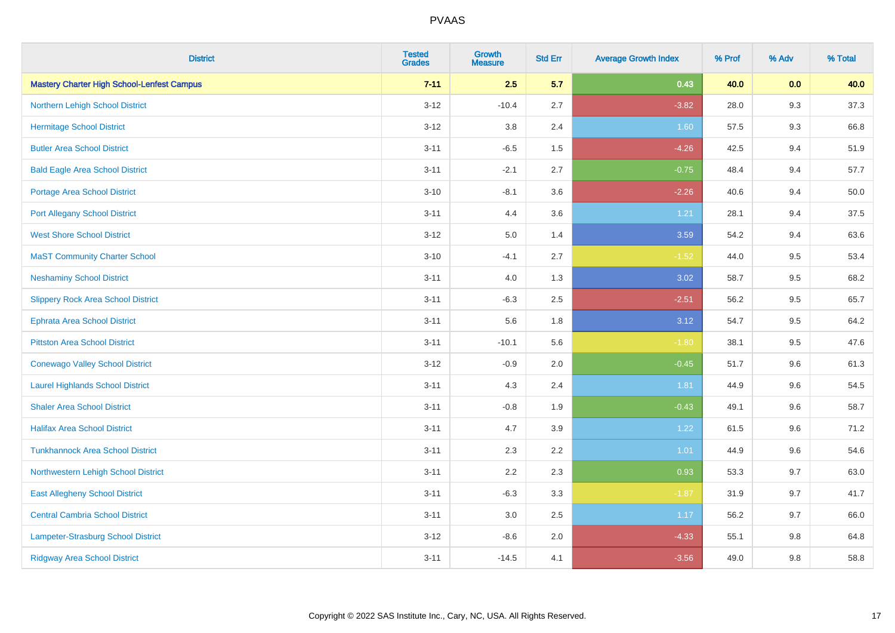| <b>District</b>                                   | <b>Tested</b><br><b>Grades</b> | <b>Growth</b><br><b>Measure</b> | <b>Std Err</b> | <b>Average Growth Index</b> | % Prof | % Adv | % Total |
|---------------------------------------------------|--------------------------------|---------------------------------|----------------|-----------------------------|--------|-------|---------|
| <b>Mastery Charter High School-Lenfest Campus</b> | $7 - 11$                       | 2.5                             | 5.7            | 0.43                        | 40.0   | 0.0   | 40.0    |
| Northern Lehigh School District                   | $3 - 12$                       | $-10.4$                         | 2.7            | $-3.82$                     | 28.0   | 9.3   | 37.3    |
| <b>Hermitage School District</b>                  | $3 - 12$                       | 3.8                             | 2.4            | 1.60                        | 57.5   | 9.3   | 66.8    |
| <b>Butler Area School District</b>                | $3 - 11$                       | $-6.5$                          | 1.5            | $-4.26$                     | 42.5   | 9.4   | 51.9    |
| <b>Bald Eagle Area School District</b>            | $3 - 11$                       | $-2.1$                          | 2.7            | $-0.75$                     | 48.4   | 9.4   | 57.7    |
| <b>Portage Area School District</b>               | $3 - 10$                       | $-8.1$                          | 3.6            | $-2.26$                     | 40.6   | 9.4   | 50.0    |
| <b>Port Allegany School District</b>              | $3 - 11$                       | 4.4                             | 3.6            | 1.21                        | 28.1   | 9.4   | 37.5    |
| <b>West Shore School District</b>                 | $3 - 12$                       | 5.0                             | 1.4            | 3.59                        | 54.2   | 9.4   | 63.6    |
| <b>MaST Community Charter School</b>              | $3 - 10$                       | $-4.1$                          | 2.7            | $-1.52$                     | 44.0   | 9.5   | 53.4    |
| <b>Neshaminy School District</b>                  | $3 - 11$                       | 4.0                             | 1.3            | 3.02                        | 58.7   | 9.5   | 68.2    |
| <b>Slippery Rock Area School District</b>         | $3 - 11$                       | $-6.3$                          | 2.5            | $-2.51$                     | 56.2   | 9.5   | 65.7    |
| <b>Ephrata Area School District</b>               | $3 - 11$                       | 5.6                             | 1.8            | 3.12                        | 54.7   | 9.5   | 64.2    |
| <b>Pittston Area School District</b>              | $3 - 11$                       | $-10.1$                         | 5.6            | $-1.80$                     | 38.1   | 9.5   | 47.6    |
| <b>Conewago Valley School District</b>            | $3 - 12$                       | $-0.9$                          | 2.0            | $-0.45$                     | 51.7   | 9.6   | 61.3    |
| <b>Laurel Highlands School District</b>           | $3 - 11$                       | 4.3                             | 2.4            | 1.81                        | 44.9   | 9.6   | 54.5    |
| <b>Shaler Area School District</b>                | $3 - 11$                       | $-0.8$                          | 1.9            | $-0.43$                     | 49.1   | 9.6   | 58.7    |
| <b>Halifax Area School District</b>               | $3 - 11$                       | 4.7                             | 3.9            | 1.22                        | 61.5   | 9.6   | 71.2    |
| <b>Tunkhannock Area School District</b>           | $3 - 11$                       | 2.3                             | 2.2            | 1.01                        | 44.9   | 9.6   | 54.6    |
| Northwestern Lehigh School District               | $3 - 11$                       | 2.2                             | 2.3            | 0.93                        | 53.3   | 9.7   | 63.0    |
| <b>East Allegheny School District</b>             | $3 - 11$                       | $-6.3$                          | 3.3            | $-1.87$                     | 31.9   | 9.7   | 41.7    |
| <b>Central Cambria School District</b>            | $3 - 11$                       | 3.0                             | $2.5\,$        | 1.17                        | 56.2   | 9.7   | 66.0    |
| Lampeter-Strasburg School District                | $3 - 12$                       | $-8.6$                          | 2.0            | $-4.33$                     | 55.1   | 9.8   | 64.8    |
| <b>Ridgway Area School District</b>               | $3 - 11$                       | $-14.5$                         | 4.1            | $-3.56$                     | 49.0   | 9.8   | 58.8    |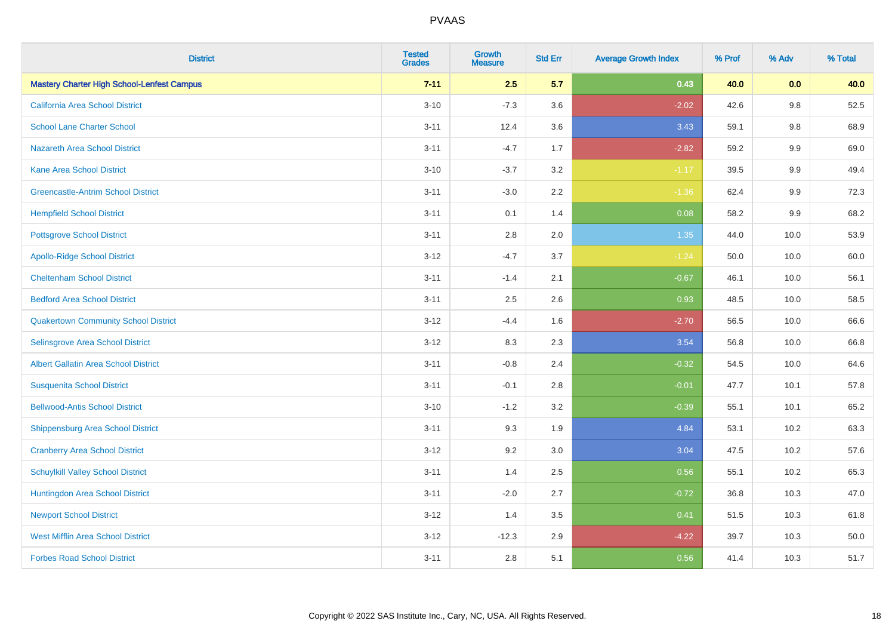| <b>District</b>                                   | <b>Tested</b><br><b>Grades</b> | Growth<br><b>Measure</b> | <b>Std Err</b> | <b>Average Growth Index</b> | % Prof | % Adv   | % Total |
|---------------------------------------------------|--------------------------------|--------------------------|----------------|-----------------------------|--------|---------|---------|
| <b>Mastery Charter High School-Lenfest Campus</b> | $7 - 11$                       | 2.5                      | 5.7            | 0.43                        | 40.0   | 0.0     | 40.0    |
| <b>California Area School District</b>            | $3 - 10$                       | $-7.3$                   | 3.6            | $-2.02$                     | 42.6   | $9.8\,$ | 52.5    |
| <b>School Lane Charter School</b>                 | $3 - 11$                       | 12.4                     | 3.6            | 3.43                        | 59.1   | $9.8\,$ | 68.9    |
| <b>Nazareth Area School District</b>              | $3 - 11$                       | $-4.7$                   | 1.7            | $-2.82$                     | 59.2   | 9.9     | 69.0    |
| <b>Kane Area School District</b>                  | $3 - 10$                       | $-3.7$                   | 3.2            | $-1.17$                     | 39.5   | 9.9     | 49.4    |
| <b>Greencastle-Antrim School District</b>         | $3 - 11$                       | $-3.0$                   | 2.2            | $-1.36$                     | 62.4   | $9.9\,$ | 72.3    |
| <b>Hempfield School District</b>                  | $3 - 11$                       | 0.1                      | 1.4            | 0.08                        | 58.2   | 9.9     | 68.2    |
| <b>Pottsgrove School District</b>                 | $3 - 11$                       | 2.8                      | 2.0            | 1.35                        | 44.0   | 10.0    | 53.9    |
| <b>Apollo-Ridge School District</b>               | $3 - 12$                       | $-4.7$                   | 3.7            | $-1.24$                     | 50.0   | 10.0    | 60.0    |
| <b>Cheltenham School District</b>                 | $3 - 11$                       | $-1.4$                   | 2.1            | $-0.67$                     | 46.1   | 10.0    | 56.1    |
| <b>Bedford Area School District</b>               | $3 - 11$                       | 2.5                      | 2.6            | 0.93                        | 48.5   | 10.0    | 58.5    |
| <b>Quakertown Community School District</b>       | $3 - 12$                       | $-4.4$                   | 1.6            | $-2.70$                     | 56.5   | 10.0    | 66.6    |
| Selinsgrove Area School District                  | $3 - 12$                       | 8.3                      | 2.3            | 3.54                        | 56.8   | 10.0    | 66.8    |
| <b>Albert Gallatin Area School District</b>       | $3 - 11$                       | $-0.8$                   | 2.4            | $-0.32$                     | 54.5   | 10.0    | 64.6    |
| <b>Susquenita School District</b>                 | $3 - 11$                       | $-0.1$                   | 2.8            | $-0.01$                     | 47.7   | 10.1    | 57.8    |
| <b>Bellwood-Antis School District</b>             | $3 - 10$                       | $-1.2$                   | 3.2            | $-0.39$                     | 55.1   | 10.1    | 65.2    |
| <b>Shippensburg Area School District</b>          | $3 - 11$                       | 9.3                      | 1.9            | 4.84                        | 53.1   | 10.2    | 63.3    |
| <b>Cranberry Area School District</b>             | $3 - 12$                       | 9.2                      | 3.0            | 3.04                        | 47.5   | 10.2    | 57.6    |
| <b>Schuylkill Valley School District</b>          | $3 - 11$                       | 1.4                      | 2.5            | 0.56                        | 55.1   | 10.2    | 65.3    |
| Huntingdon Area School District                   | $3 - 11$                       | $-2.0$                   | 2.7            | $-0.72$                     | 36.8   | 10.3    | 47.0    |
| <b>Newport School District</b>                    | $3 - 12$                       | 1.4                      | 3.5            | 0.41                        | 51.5   | 10.3    | 61.8    |
| <b>West Mifflin Area School District</b>          | $3 - 12$                       | $-12.3$                  | 2.9            | $-4.22$                     | 39.7   | 10.3    | 50.0    |
| <b>Forbes Road School District</b>                | $3 - 11$                       | 2.8                      | 5.1            | 0.56                        | 41.4   | 10.3    | 51.7    |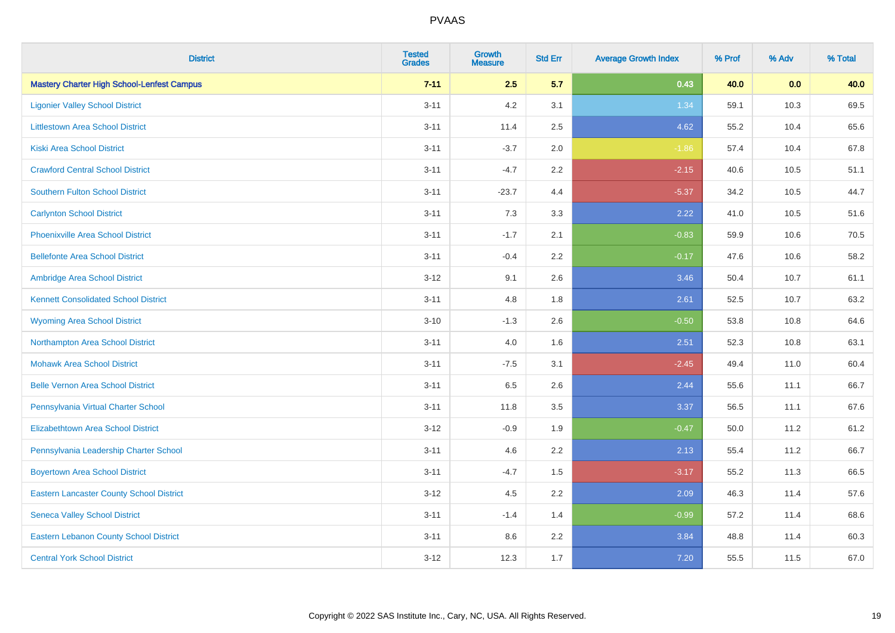| <b>District</b>                                   | <b>Tested</b><br><b>Grades</b> | Growth<br><b>Measure</b> | <b>Std Err</b> | <b>Average Growth Index</b> | % Prof | % Adv | % Total |
|---------------------------------------------------|--------------------------------|--------------------------|----------------|-----------------------------|--------|-------|---------|
| <b>Mastery Charter High School-Lenfest Campus</b> | $7 - 11$                       | 2.5                      | 5.7            | 0.43                        | 40.0   | 0.0   | 40.0    |
| <b>Ligonier Valley School District</b>            | $3 - 11$                       | 4.2                      | 3.1            | 1.34                        | 59.1   | 10.3  | 69.5    |
| <b>Littlestown Area School District</b>           | $3 - 11$                       | 11.4                     | 2.5            | 4.62                        | 55.2   | 10.4  | 65.6    |
| <b>Kiski Area School District</b>                 | $3 - 11$                       | $-3.7$                   | 2.0            | $-1.86$                     | 57.4   | 10.4  | 67.8    |
| <b>Crawford Central School District</b>           | $3 - 11$                       | $-4.7$                   | 2.2            | $-2.15$                     | 40.6   | 10.5  | 51.1    |
| <b>Southern Fulton School District</b>            | $3 - 11$                       | $-23.7$                  | 4.4            | $-5.37$                     | 34.2   | 10.5  | 44.7    |
| <b>Carlynton School District</b>                  | $3 - 11$                       | 7.3                      | 3.3            | 2.22                        | 41.0   | 10.5  | 51.6    |
| <b>Phoenixville Area School District</b>          | $3 - 11$                       | $-1.7$                   | 2.1            | $-0.83$                     | 59.9   | 10.6  | 70.5    |
| <b>Bellefonte Area School District</b>            | $3 - 11$                       | $-0.4$                   | $2.2^{\circ}$  | $-0.17$                     | 47.6   | 10.6  | 58.2    |
| Ambridge Area School District                     | $3 - 12$                       | 9.1                      | 2.6            | 3.46                        | 50.4   | 10.7  | 61.1    |
| <b>Kennett Consolidated School District</b>       | $3 - 11$                       | 4.8                      | 1.8            | 2.61                        | 52.5   | 10.7  | 63.2    |
| <b>Wyoming Area School District</b>               | $3 - 10$                       | $-1.3$                   | 2.6            | $-0.50$                     | 53.8   | 10.8  | 64.6    |
| Northampton Area School District                  | $3 - 11$                       | 4.0                      | 1.6            | 2.51                        | 52.3   | 10.8  | 63.1    |
| <b>Mohawk Area School District</b>                | $3 - 11$                       | $-7.5$                   | 3.1            | $-2.45$                     | 49.4   | 11.0  | 60.4    |
| <b>Belle Vernon Area School District</b>          | $3 - 11$                       | 6.5                      | 2.6            | 2.44                        | 55.6   | 11.1  | 66.7    |
| Pennsylvania Virtual Charter School               | $3 - 11$                       | 11.8                     | 3.5            | 3.37                        | 56.5   | 11.1  | 67.6    |
| <b>Elizabethtown Area School District</b>         | $3 - 12$                       | $-0.9$                   | 1.9            | $-0.47$                     | 50.0   | 11.2  | 61.2    |
| Pennsylvania Leadership Charter School            | $3 - 11$                       | 4.6                      | 2.2            | 2.13                        | 55.4   | 11.2  | 66.7    |
| <b>Boyertown Area School District</b>             | $3 - 11$                       | $-4.7$                   | 1.5            | $-3.17$                     | 55.2   | 11.3  | 66.5    |
| <b>Eastern Lancaster County School District</b>   | $3 - 12$                       | 4.5                      | 2.2            | 2.09                        | 46.3   | 11.4  | 57.6    |
| <b>Seneca Valley School District</b>              | $3 - 11$                       | $-1.4$                   | 1.4            | $-0.99$                     | 57.2   | 11.4  | 68.6    |
| <b>Eastern Lebanon County School District</b>     | $3 - 11$                       | 8.6                      | 2.2            | 3.84                        | 48.8   | 11.4  | 60.3    |
| <b>Central York School District</b>               | $3-12$                         | 12.3                     | 1.7            | 7.20                        | 55.5   | 11.5  | 67.0    |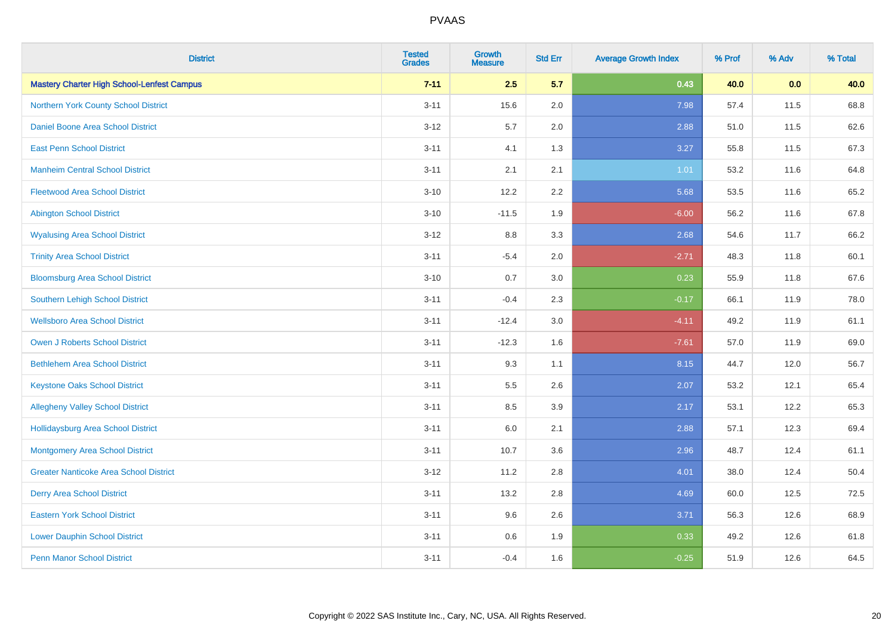| <b>District</b>                                   | <b>Tested</b><br><b>Grades</b> | <b>Growth</b><br><b>Measure</b> | <b>Std Err</b> | <b>Average Growth Index</b> | % Prof | % Adv | % Total |
|---------------------------------------------------|--------------------------------|---------------------------------|----------------|-----------------------------|--------|-------|---------|
| <b>Mastery Charter High School-Lenfest Campus</b> | $7 - 11$                       | 2.5                             | 5.7            | 0.43                        | 40.0   | 0.0   | 40.0    |
| Northern York County School District              | $3 - 11$                       | 15.6                            | 2.0            | 7.98                        | 57.4   | 11.5  | 68.8    |
| Daniel Boone Area School District                 | $3 - 12$                       | 5.7                             | 2.0            | 2.88                        | 51.0   | 11.5  | 62.6    |
| <b>East Penn School District</b>                  | $3 - 11$                       | 4.1                             | 1.3            | 3.27                        | 55.8   | 11.5  | 67.3    |
| <b>Manheim Central School District</b>            | $3 - 11$                       | 2.1                             | 2.1            | 1.01                        | 53.2   | 11.6  | 64.8    |
| <b>Fleetwood Area School District</b>             | $3 - 10$                       | 12.2                            | 2.2            | 5.68                        | 53.5   | 11.6  | 65.2    |
| <b>Abington School District</b>                   | $3 - 10$                       | $-11.5$                         | 1.9            | $-6.00$                     | 56.2   | 11.6  | 67.8    |
| <b>Wyalusing Area School District</b>             | $3 - 12$                       | 8.8                             | 3.3            | 2.68                        | 54.6   | 11.7  | 66.2    |
| <b>Trinity Area School District</b>               | $3 - 11$                       | $-5.4$                          | 2.0            | $-2.71$                     | 48.3   | 11.8  | 60.1    |
| <b>Bloomsburg Area School District</b>            | $3 - 10$                       | 0.7                             | 3.0            | 0.23                        | 55.9   | 11.8  | 67.6    |
| Southern Lehigh School District                   | $3 - 11$                       | $-0.4$                          | 2.3            | $-0.17$                     | 66.1   | 11.9  | 78.0    |
| <b>Wellsboro Area School District</b>             | $3 - 11$                       | $-12.4$                         | 3.0            | $-4.11$                     | 49.2   | 11.9  | 61.1    |
| <b>Owen J Roberts School District</b>             | $3 - 11$                       | $-12.3$                         | 1.6            | $-7.61$                     | 57.0   | 11.9  | 69.0    |
| <b>Bethlehem Area School District</b>             | $3 - 11$                       | 9.3                             | 1.1            | 8.15                        | 44.7   | 12.0  | 56.7    |
| <b>Keystone Oaks School District</b>              | $3 - 11$                       | 5.5                             | 2.6            | 2.07                        | 53.2   | 12.1  | 65.4    |
| <b>Allegheny Valley School District</b>           | $3 - 11$                       | 8.5                             | 3.9            | 2.17                        | 53.1   | 12.2  | 65.3    |
| <b>Hollidaysburg Area School District</b>         | $3 - 11$                       | 6.0                             | 2.1            | 2.88                        | 57.1   | 12.3  | 69.4    |
| <b>Montgomery Area School District</b>            | $3 - 11$                       | 10.7                            | 3.6            | 2.96                        | 48.7   | 12.4  | 61.1    |
| <b>Greater Nanticoke Area School District</b>     | $3 - 12$                       | 11.2                            | 2.8            | 4.01                        | 38.0   | 12.4  | 50.4    |
| <b>Derry Area School District</b>                 | $3 - 11$                       | 13.2                            | 2.8            | 4.69                        | 60.0   | 12.5  | 72.5    |
| <b>Eastern York School District</b>               | $3 - 11$                       | 9.6                             | 2.6            | 3.71                        | 56.3   | 12.6  | 68.9    |
| <b>Lower Dauphin School District</b>              | $3 - 11$                       | $0.6\,$                         | 1.9            | 0.33                        | 49.2   | 12.6  | 61.8    |
| <b>Penn Manor School District</b>                 | $3 - 11$                       | $-0.4$                          | 1.6            | $-0.25$                     | 51.9   | 12.6  | 64.5    |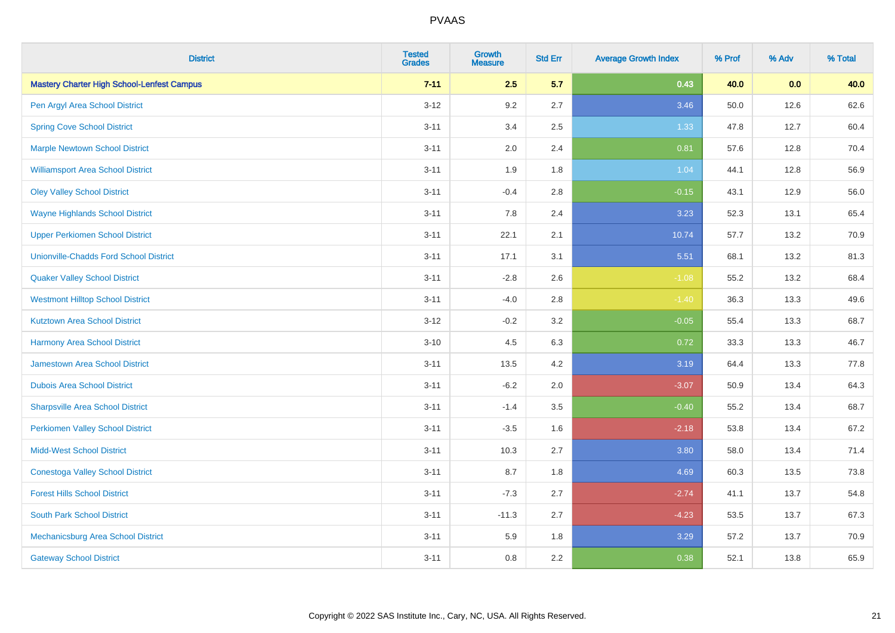| <b>District</b>                                   | <b>Tested</b><br><b>Grades</b> | <b>Growth</b><br><b>Measure</b> | <b>Std Err</b> | <b>Average Growth Index</b> | % Prof | % Adv | % Total |
|---------------------------------------------------|--------------------------------|---------------------------------|----------------|-----------------------------|--------|-------|---------|
| <b>Mastery Charter High School-Lenfest Campus</b> | $7 - 11$                       | 2.5                             | 5.7            | 0.43                        | 40.0   | 0.0   | 40.0    |
| Pen Argyl Area School District                    | $3 - 12$                       | 9.2                             | 2.7            | 3.46                        | 50.0   | 12.6  | 62.6    |
| <b>Spring Cove School District</b>                | $3 - 11$                       | 3.4                             | 2.5            | 1.33                        | 47.8   | 12.7  | 60.4    |
| <b>Marple Newtown School District</b>             | $3 - 11$                       | 2.0                             | 2.4            | 0.81                        | 57.6   | 12.8  | 70.4    |
| <b>Williamsport Area School District</b>          | $3 - 11$                       | 1.9                             | 1.8            | 1.04                        | 44.1   | 12.8  | 56.9    |
| <b>Oley Valley School District</b>                | $3 - 11$                       | $-0.4$                          | 2.8            | $-0.15$                     | 43.1   | 12.9  | 56.0    |
| <b>Wayne Highlands School District</b>            | $3 - 11$                       | 7.8                             | 2.4            | 3.23                        | 52.3   | 13.1  | 65.4    |
| <b>Upper Perkiomen School District</b>            | $3 - 11$                       | 22.1                            | 2.1            | 10.74                       | 57.7   | 13.2  | 70.9    |
| <b>Unionville-Chadds Ford School District</b>     | $3 - 11$                       | 17.1                            | 3.1            | 5.51                        | 68.1   | 13.2  | 81.3    |
| <b>Quaker Valley School District</b>              | $3 - 11$                       | $-2.8$                          | 2.6            | $-1.08$                     | 55.2   | 13.2  | 68.4    |
| <b>Westmont Hilltop School District</b>           | $3 - 11$                       | $-4.0$                          | $2.8\,$        | $-1.40$                     | 36.3   | 13.3  | 49.6    |
| <b>Kutztown Area School District</b>              | $3 - 12$                       | $-0.2$                          | 3.2            | $-0.05$                     | 55.4   | 13.3  | 68.7    |
| <b>Harmony Area School District</b>               | $3 - 10$                       | 4.5                             | 6.3            | 0.72                        | 33.3   | 13.3  | 46.7    |
| <b>Jamestown Area School District</b>             | $3 - 11$                       | 13.5                            | 4.2            | 3.19                        | 64.4   | 13.3  | 77.8    |
| <b>Dubois Area School District</b>                | $3 - 11$                       | $-6.2$                          | 2.0            | $-3.07$                     | 50.9   | 13.4  | 64.3    |
| <b>Sharpsville Area School District</b>           | $3 - 11$                       | $-1.4$                          | 3.5            | $-0.40$                     | 55.2   | 13.4  | 68.7    |
| <b>Perkiomen Valley School District</b>           | $3 - 11$                       | $-3.5$                          | 1.6            | $-2.18$                     | 53.8   | 13.4  | 67.2    |
| <b>Midd-West School District</b>                  | $3 - 11$                       | 10.3                            | 2.7            | 3.80                        | 58.0   | 13.4  | 71.4    |
| <b>Conestoga Valley School District</b>           | $3 - 11$                       | 8.7                             | 1.8            | 4.69                        | 60.3   | 13.5  | 73.8    |
| <b>Forest Hills School District</b>               | $3 - 11$                       | $-7.3$                          | 2.7            | $-2.74$                     | 41.1   | 13.7  | 54.8    |
| <b>South Park School District</b>                 | $3 - 11$                       | $-11.3$                         | 2.7            | $-4.23$                     | 53.5   | 13.7  | 67.3    |
| Mechanicsburg Area School District                | $3 - 11$                       | 5.9                             | 1.8            | 3.29                        | 57.2   | 13.7  | 70.9    |
| <b>Gateway School District</b>                    | $3 - 11$                       | 0.8                             | 2.2            | 0.38                        | 52.1   | 13.8  | 65.9    |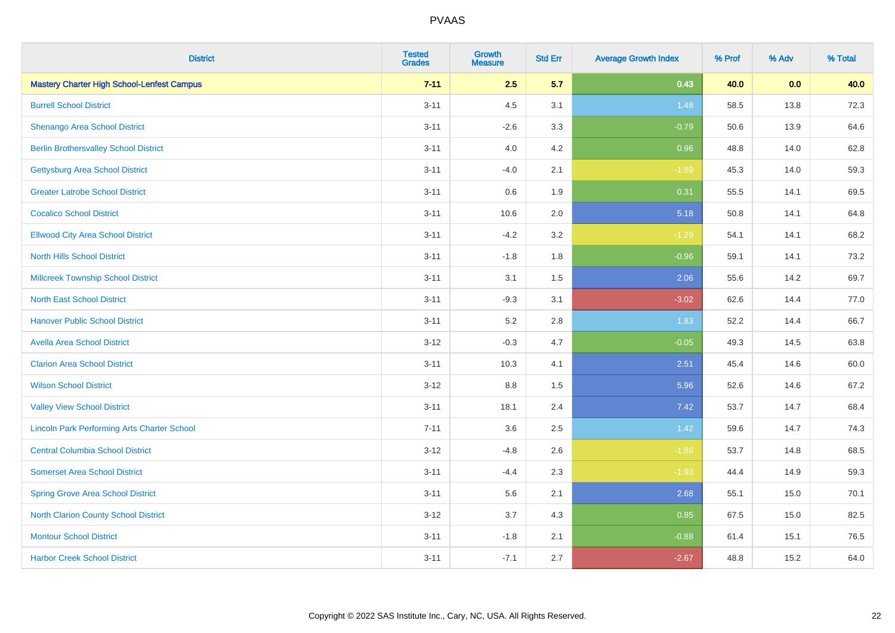| <b>District</b>                                    | <b>Tested</b><br><b>Grades</b> | <b>Growth</b><br><b>Measure</b> | <b>Std Err</b> | <b>Average Growth Index</b> | % Prof | % Adv | % Total |
|----------------------------------------------------|--------------------------------|---------------------------------|----------------|-----------------------------|--------|-------|---------|
| <b>Mastery Charter High School-Lenfest Campus</b>  | $7 - 11$                       | 2.5                             | 5.7            | 0.43                        | 40.0   | 0.0   | 40.0    |
| <b>Burrell School District</b>                     | $3 - 11$                       | 4.5                             | 3.1            | 1.48                        | 58.5   | 13.8  | 72.3    |
| <b>Shenango Area School District</b>               | $3 - 11$                       | $-2.6$                          | 3.3            | $-0.79$                     | 50.6   | 13.9  | 64.6    |
| <b>Berlin Brothersvalley School District</b>       | $3 - 11$                       | 4.0                             | 4.2            | 0.96                        | 48.8   | 14.0  | 62.8    |
| <b>Gettysburg Area School District</b>             | $3 - 11$                       | $-4.0$                          | 2.1            | $-1.89$                     | 45.3   | 14.0  | 59.3    |
| <b>Greater Latrobe School District</b>             | $3 - 11$                       | 0.6                             | 1.9            | 0.31                        | 55.5   | 14.1  | 69.5    |
| <b>Cocalico School District</b>                    | $3 - 11$                       | 10.6                            | 2.0            | 5.18                        | 50.8   | 14.1  | 64.8    |
| <b>Ellwood City Area School District</b>           | $3 - 11$                       | $-4.2$                          | 3.2            | $-1.29$                     | 54.1   | 14.1  | 68.2    |
| <b>North Hills School District</b>                 | $3 - 11$                       | $-1.8$                          | 1.8            | $-0.96$                     | 59.1   | 14.1  | 73.2    |
| <b>Millcreek Township School District</b>          | $3 - 11$                       | 3.1                             | 1.5            | 2.06                        | 55.6   | 14.2  | 69.7    |
| <b>North East School District</b>                  | $3 - 11$                       | $-9.3$                          | 3.1            | $-3.02$                     | 62.6   | 14.4  | 77.0    |
| <b>Hanover Public School District</b>              | $3 - 11$                       | 5.2                             | 2.8            | 1.83                        | 52.2   | 14.4  | 66.7    |
| <b>Avella Area School District</b>                 | $3 - 12$                       | $-0.3$                          | 4.7            | $-0.05$                     | 49.3   | 14.5  | 63.8    |
| <b>Clarion Area School District</b>                | $3 - 11$                       | 10.3                            | 4.1            | 2.51                        | 45.4   | 14.6  | 60.0    |
| <b>Wilson School District</b>                      | $3-12$                         | $8.8\,$                         | 1.5            | 5.96                        | 52.6   | 14.6  | 67.2    |
| <b>Valley View School District</b>                 | $3 - 11$                       | 18.1                            | 2.4            | 7.42                        | 53.7   | 14.7  | 68.4    |
| <b>Lincoln Park Performing Arts Charter School</b> | $7 - 11$                       | 3.6                             | 2.5            | 1.42                        | 59.6   | 14.7  | 74.3    |
| <b>Central Columbia School District</b>            | $3 - 12$                       | $-4.8$                          | 2.6            | $-1.86$                     | 53.7   | 14.8  | 68.5    |
| <b>Somerset Area School District</b>               | $3 - 11$                       | $-4.4$                          | 2.3            | $-1.93$                     | 44.4   | 14.9  | 59.3    |
| <b>Spring Grove Area School District</b>           | $3 - 11$                       | 5.6                             | 2.1            | 2.68                        | 55.1   | 15.0  | 70.1    |
| <b>North Clarion County School District</b>        | $3 - 12$                       | 3.7                             | 4.3            | 0.85                        | 67.5   | 15.0  | 82.5    |
| <b>Montour School District</b>                     | $3 - 11$                       | $-1.8$                          | 2.1            | $-0.88$                     | 61.4   | 15.1  | 76.5    |
| <b>Harbor Creek School District</b>                | $3 - 11$                       | $-7.1$                          | 2.7            | $-2.67$                     | 48.8   | 15.2  | 64.0    |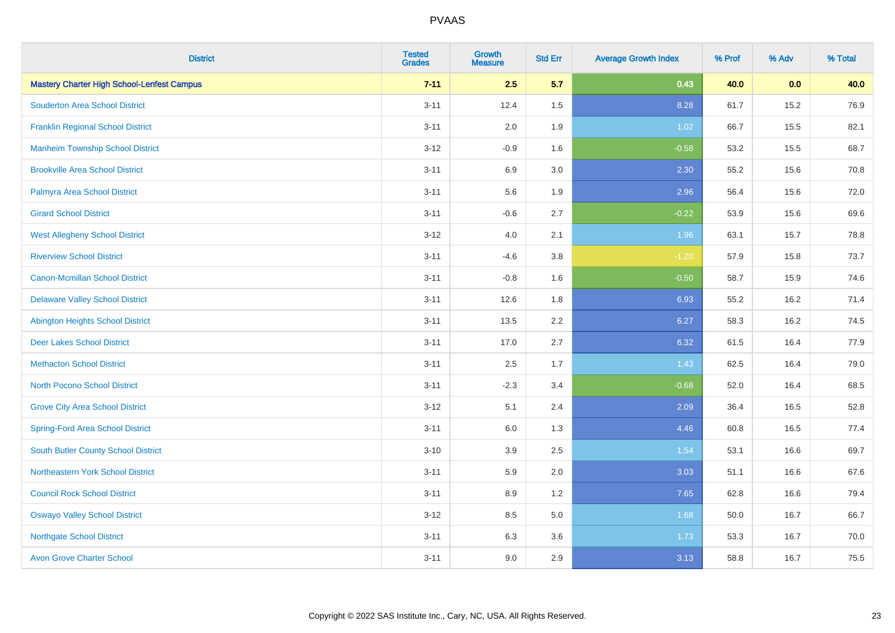| <b>District</b>                                   | <b>Tested</b><br><b>Grades</b> | <b>Growth</b><br><b>Measure</b> | <b>Std Err</b> | <b>Average Growth Index</b> | % Prof | % Adv | % Total |
|---------------------------------------------------|--------------------------------|---------------------------------|----------------|-----------------------------|--------|-------|---------|
| <b>Mastery Charter High School-Lenfest Campus</b> | $7 - 11$                       | 2.5                             | 5.7            | 0.43                        | 40.0   | 0.0   | 40.0    |
| <b>Souderton Area School District</b>             | $3 - 11$                       | 12.4                            | 1.5            | 8.28                        | 61.7   | 15.2  | 76.9    |
| <b>Franklin Regional School District</b>          | $3 - 11$                       | 2.0                             | 1.9            | 1.02                        | 66.7   | 15.5  | 82.1    |
| <b>Manheim Township School District</b>           | $3 - 12$                       | $-0.9$                          | 1.6            | $-0.58$                     | 53.2   | 15.5  | 68.7    |
| <b>Brookville Area School District</b>            | $3 - 11$                       | 6.9                             | 3.0            | 2.30                        | 55.2   | 15.6  | 70.8    |
| Palmyra Area School District                      | $3 - 11$                       | 5.6                             | 1.9            | 2.96                        | 56.4   | 15.6  | 72.0    |
| <b>Girard School District</b>                     | $3 - 11$                       | $-0.6$                          | 2.7            | $-0.22$                     | 53.9   | 15.6  | 69.6    |
| <b>West Allegheny School District</b>             | $3 - 12$                       | 4.0                             | 2.1            | 1.96                        | 63.1   | 15.7  | 78.8    |
| <b>Riverview School District</b>                  | $3 - 11$                       | $-4.6$                          | 3.8            | $-1.20$                     | 57.9   | 15.8  | 73.7    |
| <b>Canon-Mcmillan School District</b>             | $3 - 11$                       | $-0.8$                          | 1.6            | $-0.50$                     | 58.7   | 15.9  | 74.6    |
| <b>Delaware Valley School District</b>            | $3 - 11$                       | 12.6                            | 1.8            | 6.93                        | 55.2   | 16.2  | 71.4    |
| <b>Abington Heights School District</b>           | $3 - 11$                       | 13.5                            | 2.2            | 6.27                        | 58.3   | 16.2  | 74.5    |
| <b>Deer Lakes School District</b>                 | $3 - 11$                       | 17.0                            | 2.7            | 6.32                        | 61.5   | 16.4  | 77.9    |
| <b>Methacton School District</b>                  | $3 - 11$                       | 2.5                             | 1.7            | 1.43                        | 62.5   | 16.4  | 79.0    |
| <b>North Pocono School District</b>               | $3 - 11$                       | $-2.3$                          | 3.4            | $-0.68$                     | 52.0   | 16.4  | 68.5    |
| <b>Grove City Area School District</b>            | $3 - 12$                       | 5.1                             | 2.4            | 2.09                        | 36.4   | 16.5  | 52.8    |
| <b>Spring-Ford Area School District</b>           | $3 - 11$                       | 6.0                             | 1.3            | 4.46                        | 60.8   | 16.5  | 77.4    |
| <b>South Butler County School District</b>        | $3 - 10$                       | 3.9                             | 2.5            | 1.54                        | 53.1   | 16.6  | 69.7    |
| Northeastern York School District                 | $3 - 11$                       | 5.9                             | 2.0            | 3.03                        | 51.1   | 16.6  | 67.6    |
| <b>Council Rock School District</b>               | $3 - 11$                       | 8.9                             | 1.2            | 7.65                        | 62.8   | 16.6  | 79.4    |
| <b>Oswayo Valley School District</b>              | $3 - 12$                       | 8.5                             | 5.0            | 1.68                        | 50.0   | 16.7  | 66.7    |
| <b>Northgate School District</b>                  | $3 - 11$                       | 6.3                             | 3.6            | 1.73                        | 53.3   | 16.7  | 70.0    |
| <b>Avon Grove Charter School</b>                  | $3 - 11$                       | 9.0                             | 2.9            | 3.13                        | 58.8   | 16.7  | 75.5    |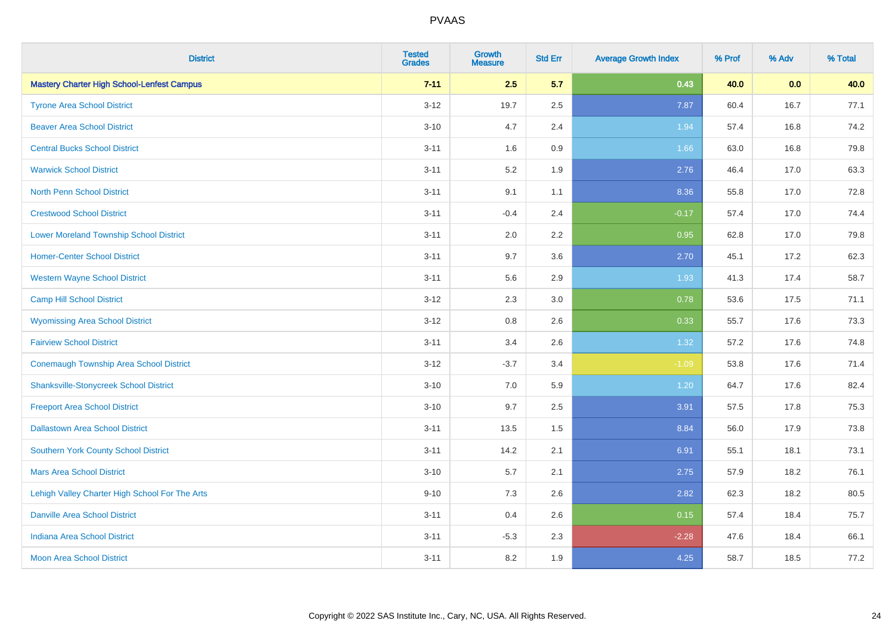| <b>District</b>                                   | <b>Tested</b><br><b>Grades</b> | <b>Growth</b><br><b>Measure</b> | <b>Std Err</b> | <b>Average Growth Index</b> | % Prof | % Adv | % Total |
|---------------------------------------------------|--------------------------------|---------------------------------|----------------|-----------------------------|--------|-------|---------|
| <b>Mastery Charter High School-Lenfest Campus</b> | $7 - 11$                       | 2.5                             | 5.7            | 0.43                        | 40.0   | 0.0   | 40.0    |
| <b>Tyrone Area School District</b>                | $3 - 12$                       | 19.7                            | 2.5            | 7.87                        | 60.4   | 16.7  | 77.1    |
| <b>Beaver Area School District</b>                | $3 - 10$                       | 4.7                             | 2.4            | 1.94                        | 57.4   | 16.8  | 74.2    |
| <b>Central Bucks School District</b>              | $3 - 11$                       | 1.6                             | 0.9            | 1.66                        | 63.0   | 16.8  | 79.8    |
| <b>Warwick School District</b>                    | $3 - 11$                       | 5.2                             | 1.9            | 2.76                        | 46.4   | 17.0  | 63.3    |
| <b>North Penn School District</b>                 | $3 - 11$                       | 9.1                             | 1.1            | 8.36                        | 55.8   | 17.0  | 72.8    |
| <b>Crestwood School District</b>                  | $3 - 11$                       | $-0.4$                          | 2.4            | $-0.17$                     | 57.4   | 17.0  | 74.4    |
| <b>Lower Moreland Township School District</b>    | $3 - 11$                       | 2.0                             | 2.2            | 0.95                        | 62.8   | 17.0  | 79.8    |
| <b>Homer-Center School District</b>               | $3 - 11$                       | 9.7                             | 3.6            | 2.70                        | 45.1   | 17.2  | 62.3    |
| <b>Western Wayne School District</b>              | $3 - 11$                       | 5.6                             | 2.9            | 1.93                        | 41.3   | 17.4  | 58.7    |
| <b>Camp Hill School District</b>                  | $3 - 12$                       | 2.3                             | 3.0            | 0.78                        | 53.6   | 17.5  | 71.1    |
| <b>Wyomissing Area School District</b>            | $3 - 12$                       | 0.8                             | 2.6            | 0.33                        | 55.7   | 17.6  | 73.3    |
| <b>Fairview School District</b>                   | $3 - 11$                       | 3.4                             | 2.6            | 1.32                        | 57.2   | 17.6  | 74.8    |
| <b>Conemaugh Township Area School District</b>    | $3 - 12$                       | $-3.7$                          | 3.4            | $-1.09$                     | 53.8   | 17.6  | 71.4    |
| <b>Shanksville-Stonycreek School District</b>     | $3 - 10$                       | 7.0                             | 5.9            | 1.20                        | 64.7   | 17.6  | 82.4    |
| <b>Freeport Area School District</b>              | $3 - 10$                       | 9.7                             | 2.5            | 3.91                        | 57.5   | 17.8  | 75.3    |
| <b>Dallastown Area School District</b>            | $3 - 11$                       | 13.5                            | 1.5            | 8.84                        | 56.0   | 17.9  | 73.8    |
| <b>Southern York County School District</b>       | $3 - 11$                       | 14.2                            | 2.1            | 6.91                        | 55.1   | 18.1  | 73.1    |
| <b>Mars Area School District</b>                  | $3 - 10$                       | 5.7                             | 2.1            | 2.75                        | 57.9   | 18.2  | 76.1    |
| Lehigh Valley Charter High School For The Arts    | $9 - 10$                       | 7.3                             | 2.6            | 2.82                        | 62.3   | 18.2  | 80.5    |
| <b>Danville Area School District</b>              | $3 - 11$                       | 0.4                             | 2.6            | 0.15                        | 57.4   | 18.4  | 75.7    |
| <b>Indiana Area School District</b>               | $3 - 11$                       | $-5.3$                          | 2.3            | $-2.28$                     | 47.6   | 18.4  | 66.1    |
| <b>Moon Area School District</b>                  | $3 - 11$                       | 8.2                             | 1.9            | 4.25                        | 58.7   | 18.5  | 77.2    |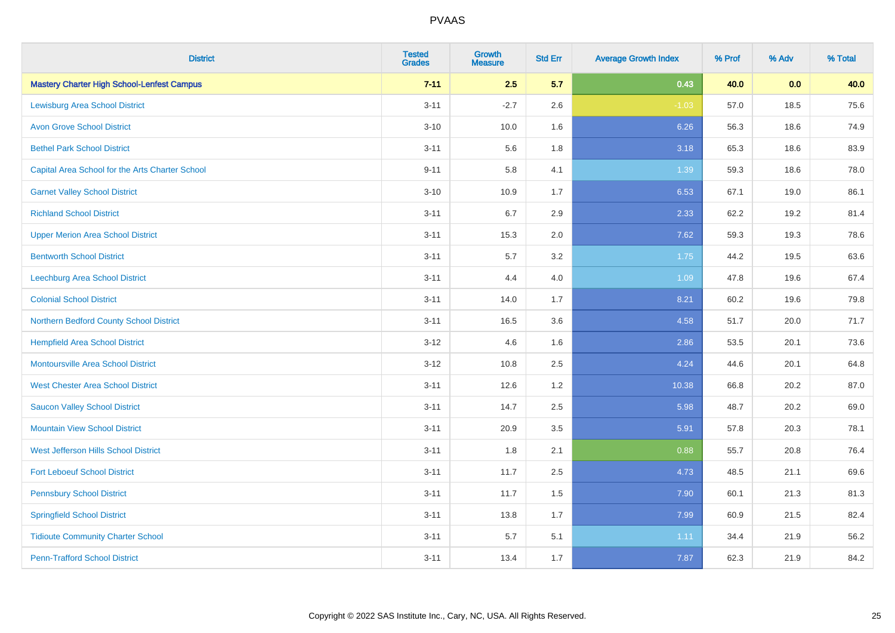| <b>District</b>                                   | <b>Tested</b><br><b>Grades</b> | <b>Growth</b><br><b>Measure</b> | <b>Std Err</b> | <b>Average Growth Index</b> | % Prof | % Adv | % Total |
|---------------------------------------------------|--------------------------------|---------------------------------|----------------|-----------------------------|--------|-------|---------|
| <b>Mastery Charter High School-Lenfest Campus</b> | $7 - 11$                       | 2.5                             | 5.7            | 0.43                        | 40.0   | 0.0   | 40.0    |
| <b>Lewisburg Area School District</b>             | $3 - 11$                       | $-2.7$                          | 2.6            | $-1.03$                     | 57.0   | 18.5  | 75.6    |
| <b>Avon Grove School District</b>                 | $3 - 10$                       | 10.0                            | 1.6            | 6.26                        | 56.3   | 18.6  | 74.9    |
| <b>Bethel Park School District</b>                | $3 - 11$                       | 5.6                             | 1.8            | 3.18                        | 65.3   | 18.6  | 83.9    |
| Capital Area School for the Arts Charter School   | $9 - 11$                       | 5.8                             | 4.1            | 1.39                        | 59.3   | 18.6  | 78.0    |
| <b>Garnet Valley School District</b>              | $3 - 10$                       | 10.9                            | 1.7            | 6.53                        | 67.1   | 19.0  | 86.1    |
| <b>Richland School District</b>                   | $3 - 11$                       | 6.7                             | 2.9            | 2.33                        | 62.2   | 19.2  | 81.4    |
| <b>Upper Merion Area School District</b>          | $3 - 11$                       | 15.3                            | 2.0            | 7.62                        | 59.3   | 19.3  | 78.6    |
| <b>Bentworth School District</b>                  | $3 - 11$                       | 5.7                             | 3.2            | 1.75                        | 44.2   | 19.5  | 63.6    |
| <b>Leechburg Area School District</b>             | $3 - 11$                       | 4.4                             | 4.0            | 1.09                        | 47.8   | 19.6  | 67.4    |
| <b>Colonial School District</b>                   | $3 - 11$                       | 14.0                            | 1.7            | 8.21                        | 60.2   | 19.6  | 79.8    |
| Northern Bedford County School District           | $3 - 11$                       | 16.5                            | 3.6            | 4.58                        | 51.7   | 20.0  | 71.7    |
| <b>Hempfield Area School District</b>             | $3 - 12$                       | 4.6                             | 1.6            | 2.86                        | 53.5   | 20.1  | 73.6    |
| <b>Montoursville Area School District</b>         | $3 - 12$                       | 10.8                            | 2.5            | 4.24                        | 44.6   | 20.1  | 64.8    |
| <b>West Chester Area School District</b>          | $3 - 11$                       | 12.6                            | 1.2            | 10.38                       | 66.8   | 20.2  | 87.0    |
| <b>Saucon Valley School District</b>              | $3 - 11$                       | 14.7                            | 2.5            | 5.98                        | 48.7   | 20.2  | 69.0    |
| <b>Mountain View School District</b>              | $3 - 11$                       | 20.9                            | 3.5            | 5.91                        | 57.8   | 20.3  | 78.1    |
| West Jefferson Hills School District              | $3 - 11$                       | 1.8                             | 2.1            | 0.88                        | 55.7   | 20.8  | 76.4    |
| <b>Fort Leboeuf School District</b>               | $3 - 11$                       | 11.7                            | 2.5            | 4.73                        | 48.5   | 21.1  | 69.6    |
| <b>Pennsbury School District</b>                  | $3 - 11$                       | 11.7                            | 1.5            | 7.90                        | 60.1   | 21.3  | 81.3    |
| <b>Springfield School District</b>                | $3 - 11$                       | 13.8                            | 1.7            | 7.99                        | 60.9   | 21.5  | 82.4    |
| <b>Tidioute Community Charter School</b>          | $3 - 11$                       | 5.7                             | 5.1            | 1.11                        | 34.4   | 21.9  | 56.2    |
| <b>Penn-Trafford School District</b>              | $3 - 11$                       | 13.4                            | 1.7            | 7.87                        | 62.3   | 21.9  | 84.2    |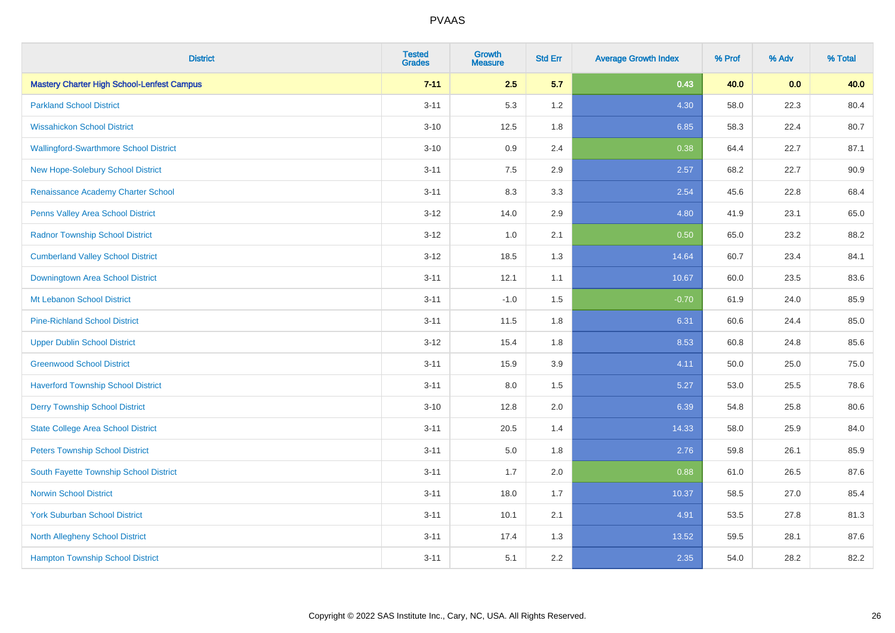| <b>District</b>                                   | <b>Tested</b><br><b>Grades</b> | <b>Growth</b><br><b>Measure</b> | <b>Std Err</b> | <b>Average Growth Index</b> | % Prof | % Adv | % Total |
|---------------------------------------------------|--------------------------------|---------------------------------|----------------|-----------------------------|--------|-------|---------|
| <b>Mastery Charter High School-Lenfest Campus</b> | $7 - 11$                       | 2.5                             | 5.7            | 0.43                        | 40.0   | 0.0   | 40.0    |
| <b>Parkland School District</b>                   | $3 - 11$                       | 5.3                             | 1.2            | 4.30                        | 58.0   | 22.3  | 80.4    |
| <b>Wissahickon School District</b>                | $3 - 10$                       | 12.5                            | 1.8            | 6.85                        | 58.3   | 22.4  | 80.7    |
| <b>Wallingford-Swarthmore School District</b>     | $3 - 10$                       | 0.9                             | 2.4            | 0.38                        | 64.4   | 22.7  | 87.1    |
| New Hope-Solebury School District                 | $3 - 11$                       | 7.5                             | 2.9            | 2.57                        | 68.2   | 22.7  | 90.9    |
| Renaissance Academy Charter School                | $3 - 11$                       | 8.3                             | 3.3            | 2.54                        | 45.6   | 22.8  | 68.4    |
| <b>Penns Valley Area School District</b>          | $3 - 12$                       | 14.0                            | 2.9            | 4.80                        | 41.9   | 23.1  | 65.0    |
| <b>Radnor Township School District</b>            | $3 - 12$                       | 1.0                             | 2.1            | 0.50                        | 65.0   | 23.2  | 88.2    |
| <b>Cumberland Valley School District</b>          | $3 - 12$                       | 18.5                            | 1.3            | 14.64                       | 60.7   | 23.4  | 84.1    |
| Downingtown Area School District                  | $3 - 11$                       | 12.1                            | 1.1            | 10.67                       | 60.0   | 23.5  | 83.6    |
| Mt Lebanon School District                        | $3 - 11$                       | $-1.0$                          | 1.5            | $-0.70$                     | 61.9   | 24.0  | 85.9    |
| <b>Pine-Richland School District</b>              | $3 - 11$                       | 11.5                            | 1.8            | 6.31                        | 60.6   | 24.4  | 85.0    |
| <b>Upper Dublin School District</b>               | $3 - 12$                       | 15.4                            | 1.8            | 8.53                        | 60.8   | 24.8  | 85.6    |
| <b>Greenwood School District</b>                  | $3 - 11$                       | 15.9                            | 3.9            | 4.11                        | 50.0   | 25.0  | 75.0    |
| <b>Haverford Township School District</b>         | $3 - 11$                       | 8.0                             | 1.5            | 5.27                        | 53.0   | 25.5  | 78.6    |
| <b>Derry Township School District</b>             | $3 - 10$                       | 12.8                            | 2.0            | 6.39                        | 54.8   | 25.8  | 80.6    |
| <b>State College Area School District</b>         | $3 - 11$                       | 20.5                            | 1.4            | 14.33                       | 58.0   | 25.9  | 84.0    |
| <b>Peters Township School District</b>            | $3 - 11$                       | 5.0                             | 1.8            | 2.76                        | 59.8   | 26.1  | 85.9    |
| South Fayette Township School District            | $3 - 11$                       | 1.7                             | 2.0            | 0.88                        | 61.0   | 26.5  | 87.6    |
| <b>Norwin School District</b>                     | $3 - 11$                       | 18.0                            | 1.7            | 10.37                       | 58.5   | 27.0  | 85.4    |
| <b>York Suburban School District</b>              | $3 - 11$                       | 10.1                            | 2.1            | 4.91                        | 53.5   | 27.8  | 81.3    |
| <b>North Allegheny School District</b>            | $3 - 11$                       | 17.4                            | 1.3            | 13.52                       | 59.5   | 28.1  | 87.6    |
| <b>Hampton Township School District</b>           | $3 - 11$                       | 5.1                             | 2.2            | 2.35                        | 54.0   | 28.2  | 82.2    |